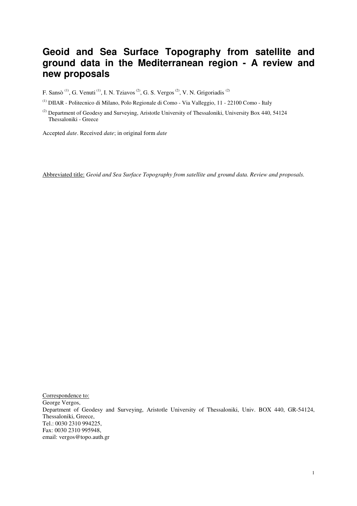# **Geoid and Sea Surface Topography from satellite and ground data in the Mediterranean region - A review and new proposals**

F. Sansò <sup>(1)</sup>, G. Venuti<sup>(1)</sup>, I. N. Tziavos<sup>(2)</sup>, G. S. Vergos<sup>(2)</sup>, V. N. Grigoriadis<sup>(2)</sup>

(1) DIIAR - Politecnico di Milano, Polo Regionale di Como - Via Valleggio, 11 - 22100 Como - Italy

(2) Department of Geodesy and Surveying, Aristotle University of Thessaloniki, University Box 440, 54124 Thessaloniki - Greece

Accepted *date*. Received *date*; in original form *date*

Abbreviated title: *Geoid and Sea Surface Topography from satellite and ground data. Review and proposals.* 

Correspondence to: George Vergos, Department of Geodesy and Surveying, Aristotle University of Thessaloniki, Univ. BOX 440, GR-54124, Thessaloniki, Greece, Tel.: 0030 2310 994225, Fax: 0030 2310 995948, email: vergos@topo.auth.gr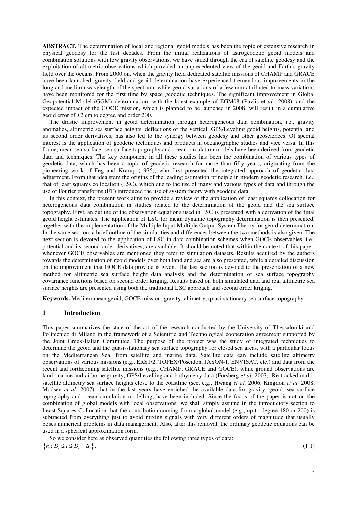**ABSTRACT.** The determination of local and regional geoid models has been the topic of extensive research in physical geodesy for the last decades. From the initial realizations of astrogeodetic geoid models and combination solutions with few gravity observations, we have sailed through the era of satellite geodesy and the exploitation of altimetric observations which provided an unprecedented view of the geoid and Earth's gravity field over the oceans. From 2000 on, when the gravity field dedicated satellite missions of CHAMP and GRACE have been launched, gravity field and geoid determination have experienced tremendous improvements in the long and medium wavelength of the spectrum, while geoid variations of a few mm attributed to mass variations have been monitored for the first time by space geodetic techniques. The significant improvement in Global Geopotential Model (GGM) determination, with the latest example of EGM08 (Pavlis et *al.*, 2008), and the expected impact of the GOCE mission, which is planned to be launched in 2008, will result in a cumulative geoid error of ±2 cm to degree and order 200.

The drastic improvement in geoid determination through heterogeneous data combination, i.e., gravity anomalies, altimetric sea surface heights, deflections of the vertical, GPS/Leveling geoid heights, potential and its second order derivatives, has also led to the synergy between geodesy and other geosciences. Of special interest is the application of geodetic techniques and products in oceanographic studies and vice versa. In this frame, mean sea surface, sea surface topography and ocean circulation models have been derived from geodetic data and techniques. The key component in all these studies has been the combination of various types of geodetic data, which has been a topic of geodetic research for more than fifty years, originating from the pioneering work of Eeg and Krarup (1975), who first presented the integrated approach of geodetic data adjustment. From that idea stem the origins of the leading estimation principle in modern geodetic research, i.e., that of least squares collocation (LSC), which due to the use of many and various types of data and through the use of Fourier transforms (FT) introduced the use of system theory with geodetic data.

In this context, the present work aims to provide a review of the application of least squares collocation for heterogeneous data combination in studies related to the determination of the geoid and the sea surface topography. First, an outline of the observation equations used in LSC is presented with a derivation of the final geoid height estimates. The application of LSC for mean dynamic topography determination is then presented, together with the implementation of the Multiple Input Multiple Output System Theory for geoid determination. In the same section, a brief outline of the similarities and differences between the two methods is also given. The next section is devoted to the application of LSC in data combination schemes when GOCE observables, i.e., potential and its second order derivatives, are available. It should be noted that within the context of this paper, whenever GOCE observables are mentioned they refer to simulation datasets. Results acquired by the authors towards the determination of geoid models over both land and sea are also presented, while a detailed discussion on the improvement that GOCE data provide is given. The last section is devoted to the presentation of a new method for altimetric sea surface height data analysis and the determination of sea surface topography covariance functions based on second order kriging. Results based on both simulated data and real altimetric sea surface heights are presented using both the traditional LSC approach and second order kriging.

**Keywords.** Mediterranean geoid, GOCE mission, gravity, altimetry, quasi-stationary sea surface topography.

# **1 Introduction**

This paper summarizes the state of the art of the research conducted by the University of Thessaloniki and Politecnico di Milano in the framework of a Scientific and Technological cooperation agreement supported by the Joint Greek-Italian Committee. The purpose of the project was the study of integrated techniques to determine the geoid and the quasi-stationary sea surface topography for closed sea areas, with a particular focus on the Mediterranean Sea, from satellite and marine data. Satellite data can include satellite altimetry observations of various missions (e.g., ERS1/2, TOPEX/Poseidon, JASON-1, ENVISAT, etc.) and data from the recent and forthcoming satellite missions (e.g., CHAMP, GRACE and GOCE), while ground observations are land, marine and airborne gravity, GPS/Levelling and bathymetry data (Forsberg *et al*. 2007). Re-tracked multisatellite altimetry sea surface heights close to the coastline (see, e.g., Hwang *et al.* 2006, Kingdon *et al.* 2008, Madsen *et al.* 2007), that in the last years have enriched the available data for gravity, geoid, sea surface topography and ocean circulation modelling, have been included. Since the focus of the paper is not on the combination of global models with local observations, we shall simply assume in the introductory section to Least Squares Collocation that the contribution coming from a global model (e.g., up to degree 180 or 200) is subtracted from everything just to avoid mixing signals with very different orders of magnitude that usually poses numerical problems in data management. Also, after this removal, the ordinary geodetic equations can be used in a spherical approximation form.

So we consider here as observed quantities the following three types of data:  $\{h, D \le t \le D_t + \Delta_t\},$  (1.1)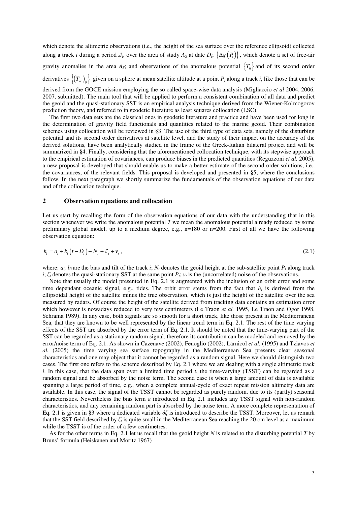which denote the altimetric observations (i.e., the height of the sea surface over the reference ellipsoid) collected along a track *i* during a period  $\Delta_i$ , over the area of study  $A_s$  at date  $D_i$ ;  $\{\Delta g(P_i)\}\$ , which denote a set of free-air gravity anomalies in the area  $A_s$ ; and observations of the anomalous potential  $\{T_i\}$  and of its second order derivatives  $\{(T_r)_{ij}\}\$ given on a sphere at mean satellite altitude at a point  $P_j$  along a track *i*, like those that can be derived from the GOCE mission employing the so called space-wise data analysis (Migliaccio *et al* 2004, 2006, 2007, submitted). The main tool that will be applied to perform a consistent combination of all data and predict the geoid and the quasi-stationary SST is an empirical analysis technique derived from the Wiener-Kolmogorov prediction theory, and referred to in geodetic literature as least squares collocation (LSC).

The first two data sets are the classical ones in geodetic literature and practice and have been used for long in the determination of gravity field functionals and quantities related to the marine geoid. Their combination schemes using collocation will be reviewed in §3. The use of the third type of data sets, namely of the disturbing potential and its second order derivatives at satellite level, and the study of their impact on the accuracy of the derived solutions, have been analytically studied in the frame of the Greek-Italian bilateral project and will be summarized in §4. Finally, considering that the aforementioned collocation technique, with its stepwise approach to the empirical estimation of covariances, can produce biases in the predicted quantities (Reguzzoni *et al.* 2005), a new proposal is developed that should enable us to make a better estimate of the second order solutions, i.e., the covariances, of the relevant fields. This proposal is developed and presented in §5, where the conclusions follow. In the next paragraph we shortly summarize the fundamentals of the observation equations of our data and of the collocation technique.

#### **2 Observation equations and collocation**

Let us start by recalling the form of the observation equations of our data with the understanding that in this section whenever we write the anomalous potential *T* we mean the anomalous potential already reduced by some preliminary global model, up to a medium degree, e.g.,  $n=180$  or  $n=200$ . First of all we have the following observation equation:

$$
h_t = a_t + b_t \left( t - D_t \right) + N_t + \zeta_t + v_t, \tag{2.1}
$$

where:  $a_i$ ,  $b_i$  are the bias and tilt of the track *i*;  $N_t$  denotes the geoid height at the sub-satellite point  $P_t$  along track *i*;  $\zeta$ <sup>*t*</sup> denotes the quasi-stationary SST at the same point *P<sub>i</sub>*;  $v_t$  is the (uncorrelated) noise of the observations.

Note that usually the model presented in Eq. 2.1 is augmented with the inclusion of an orbit error and some time dependant oceanic signal, e.g., tides. The orbit error stems from the fact that  $h_t$  is derived from the ellipsoidal height of the satellite minus the true observation, which is just the height of the satellite over the sea measured by radars. Of course the height of the satellite derived from tracking data contains an estimation error which however is nowadays reduced to very few centimeters (Le Traon *et al.* 1995, Le Traon and Ogor 1998, Schrama 1989). In any case, both signals are so smooth for a short track, like those present in the Mediterranean Sea, that they are known to be well represented by the linear trend term in Eq. 2.1. The rest of the time varying effects of the SST are absorbed by the error term of Eq. 2.1. It should be noted that the time-varying part of the SST can be regarded as a stationary random signal, therefore its contribution can be modeled and removed by the error/noise term of Eq. 2.1. As shown in Cazenave (2002), Fenoglio (2002), Larnicol *et al.* (1995) and Tziavos *et al.* (2005) the time varying sea surface topography in the Mediterranean Sea presents clear seasonal characteristics and one may object that it cannot be regarded as a random signal. Here we should distinguish two cases. The first one refers to the scheme described by Eq. 2.1 where we are dealing with a single altimetric track *i*. In this case, that the data span over a limited time period *t*, the time-varying (TSST) can be regarded as a random signal and be absorbed by the noise term. The second case is when a large amount of data is available spanning a large period of time, e.g., when a complete annual-cycle of exact repeat mission altimetry data are available. In this case, the signal of the TSST cannot be regarded as purely random, due to its (partly) seasonal characteristics. Nevertheless the bias term *a* introduced in Eq. 2.1 includes any TSST signal with non-random characteristics, and any remaining random part is absorbed by the noise term. A more complete representation of Eq. 2.1 is given in §3 where a dedicated variable  $\delta\zeta$  is introduced to describe the TSST. Moreover, let us remark that the SST field described by  $\zeta_t$  is quite small in the Mediterranean Sea reaching the 20 cm level as a maximum while the TSST is of the order of a few centimetres.

As for the other terms in Eq. 2.1 let us recall that the geoid height *N* is related to the disturbing potential *T* by Bruns' formula (Heiskanen and Moritz 1967)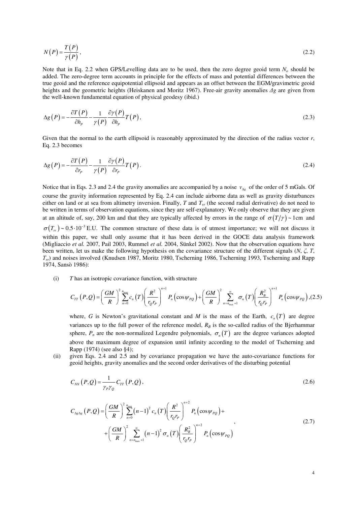$$
N(P) = \frac{T(P)}{\gamma(P)},
$$
\n(2.2)

Note that in Eq. 2.2 when GPS/Levelling data are to be used, then the zero degree geoid term *N<sup>o</sup>* should be added. The zero-degree term accounts in principle for the effects of mass and potential differences between the true geoid and the reference equipotential ellipsoid and appears as an offset between the EGM/gravimetric geoid heights and the geometric heights (Heiskanen and Moritz 1967). Free-air gravity anomalies ∆*g* are given from the well-known fundamental equation of physical geodesy (ibid.)

$$
\Delta g\left(P\right) = -\frac{\partial T\left(P\right)}{\partial h_p} - \frac{1}{\gamma\left(P\right)} \frac{\partial \gamma\left(P\right)}{\partial h_p} T\left(P\right),\tag{2.3}
$$

Given that the normal to the earth ellipsoid is reasonably approximated by the direction of the radius vector *r*, Eq. 2.3 becomes

$$
\Delta g\left(P\right) = -\frac{\partial T\left(P\right)}{\partial r_p} - \frac{1}{\gamma\left(P\right)} \frac{\partial \gamma\left(P\right)}{\partial r_p} T\left(P\right). \tag{2.4}
$$

Notice that in Eqs. 2.3 and 2.4 the gravity anomalies are accompanied by a noise  $v_{\lambda g}$  of the order of 5 mGals. Of course the gravity information represented by Eq. 2.4 can include airborne data as well as gravity disturbances either on land or at sea from altimetry inversion. Finally, *T* and *Trr* (the second radial derivative) do not need to be written in terms of observation equations, since they are self-explanatory. We only observe that they are given at an altitude of, say, 200 km and that they are typically affected by errors in the range of  $\sigma(T/\gamma)$  ~ 1cm and  $\sigma(T_r) \sim 0.5 \cdot 10^{-3}$  E.U. The common structure of these data is of utmost importance; we will not discuss it within this paper, we shall only assume that it has been derived in the GOCE data analysis framework (Migliaccio *et al.* 2007, Pail 2003, Rummel *et al.* 2004, Sünkel 2002). Now that the observation equations have been written, let us make the following hypothesis on the covariance structure of the different signals (*N*, ζ, Τ, Τ*rr*) and noises involved (Knudsen 1987, Moritz 1980, Tscherning 1986, Tscherning 1993, Tscherning and Rapp 1974, Sansò 1986):

(i) *T* has an isotropic covariance function, with structure

$$
C_{TT}(P,Q) = \left(\frac{GM}{R}\right)^2 \sum_{n=0}^{n_{\text{max}}} c_n(T) \left(\frac{R^2}{r_Q r_P}\right)^{n+1} P_n\left(\cos \psi_{PQ}\right) + \left(\frac{GM}{R}\right)^2 \sum_{n=n_{\text{max}}+1}^{\infty} \sigma_n(T) \left(\frac{R_B^2}{r_Q r_P}\right)^{n+1} P_n\left(\cos \psi_{PQ}\right), (2.5)
$$

where, *G* is Newton's gravitational constant and *M* is the mass of the Earth,  $c_n(T)$  are degree variances up to the full power of the reference model,  $R_B$  is the so-called radius of the Bjerhammar sphere,  $P_n$  are the non-normalized Legendre polynomials,  $\sigma_n(T)$  are the degree variances adopted above the maximum degree of expansion until infinity according to the model of Tscherning and Rapp (1974) (see also §4);

(ii) given Eqs. 2.4 and 2.5 and by covariance propagation we have the auto-covariance functions for geoid heights, gravity anomalies and the second order derivatives of the disturbing potential

$$
C_{NN}(P,Q) = \frac{1}{\gamma_P \gamma_Q} C_{TT}(P,Q), \qquad (2.6)
$$

$$
C_{\Delta g \Delta g} (P,Q) = \left(\frac{GM}{R}\right)^2 \sum_{n=0}^{n_{\text{max}}} (n-1)^2 c_n (T) \left(\frac{R^2}{r_Q r_P}\right)^{n+2} P_n (\cos \psi_{PQ}) + \\ + \left(\frac{GM}{R}\right)^2 \sum_{n=n_{\text{max}}+1}^{\infty} (n-1)^2 \sigma_n (T) \left(\frac{R^2}{r_Q r_P}\right)^{n+2} P_n (\cos \psi_{PQ})
$$
\n(2.7)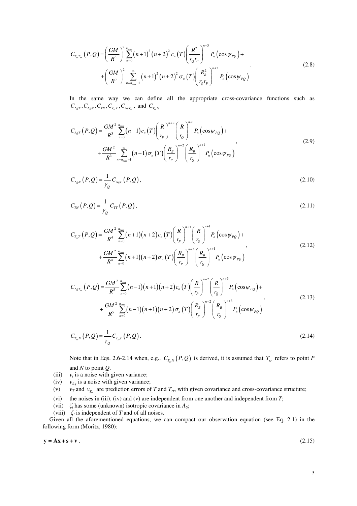$$
C_{T_{n}T_{n}}\left(P,Q\right) = \left(\frac{GM}{R^{3}}\right)^{2} \sum_{n=0}^{n_{\text{max}}} \left(n+1\right)^{2} \left(n+2\right)^{2} c_{n} \left(T\right) \left(\frac{R^{2}}{r_{Q}r_{P}}\right)^{n+3} P_{n}\left(\cos\psi_{PQ}\right) + \\ + \left(\frac{GM}{R^{3}}\right)^{2} \sum_{n=n_{\text{max}}+1}^{\infty} \left(n+1\right)^{2} \left(n+2\right)^{2} \sigma_{n} \left(T\right) \left(\frac{R_{B}^{2}}{r_{Q}r_{P}}\right)^{n+3} P_{n}\left(\cos\psi_{PQ}\right) \tag{2.8}
$$

 In the same way we can define all the appropriate cross-covariance functions such as  $C_{\Delta gT}$  ,  $C_{\Delta gN}$  ,  $C_{TN}$  ,  $C_{T_{rr}T}$  ,  $C_{\Delta gT_{rr}}$  , and  $C_{T_{rr}N}$ 

$$
C_{\Delta g T}\left(P,Q\right) = \frac{GM^2}{R^3} \sum_{n=0}^{m_{\text{max}}} (n-1)c_n\left(T\right) \left(\frac{R}{r_p}\right)^{n+2} \left(\frac{R}{r_Q}\right)^{n+1} P_n\left(\cos\psi_{PQ}\right) + \\ + \frac{GM^2}{R^3} \sum_{n=n_{\text{max}}+1}^{\infty} (n-1)\sigma_n\left(T\right) \left(\frac{R_B}{r_p}\right)^{n+2} \left(\frac{R_B}{r_Q}\right)^{n+1} P_n\left(\cos\psi_{PQ}\right) \tag{2.9}
$$

$$
C_{\Delta gN}(P,Q) = \frac{1}{\gamma_Q} C_{\Delta gT}(P,Q),
$$
\n(2.10)

$$
C_{\text{TN}}\left(P,Q\right) = \frac{1}{\gamma_Q} C_{\text{TT}}\left(P,Q\right),\tag{2.11}
$$

$$
C_{T_{n}T}\left(P,Q\right) = \frac{GM^2}{R^4} \sum_{n=0}^{n_{\text{max}}} (n+1)(n+2)c_n\left(T\right) \left(\frac{R}{r_p}\right)^{n+3} \left(\frac{R}{r_Q}\right)^{n+1} P_n\left(\cos\psi_{PQ}\right) + \\ + \frac{GM^2}{R^4} \sum_{n=0}^{n_{\text{max}}} (n+1)(n+2)\sigma_n\left(T\right) \left(\frac{R_B}{r_p}\right)^{n+3} \left(\frac{R_B}{r_Q}\right)^{n+1} P_n\left(\cos\psi_{PQ}\right) \tag{2.12}
$$

$$
C_{\Delta g T_{rr}}(P,Q) = \frac{GM^2}{R^5} \sum_{n=0}^{n_{\text{max}}} (n-1)(n+1)(n+2)c_n(T) \left(\frac{R}{r_p}\right)^{n+2} \left(\frac{R}{r_Q}\right)^{n+3} P_n\left(\cos\psi_{PQ}\right) + \\ + \frac{GM^2}{R^5} \sum_{n=0}^{n_{\text{max}}} (n-1)(n+1)(n+2)\sigma_n(T) \left(\frac{R_B}{r_p}\right)^{n+2} \left(\frac{R_B}{r_Q}\right)^{n+3} P_n\left(\cos\psi_{PQ}\right) \tag{2.13}
$$

$$
C_{T_{\pi N}}(P,Q) = \frac{1}{\gamma_Q} C_{T_{\pi T}}(P,Q).
$$
 (2.14)

Note that in Eqs. 2.6-2.14 when, e.g.,  $C_{T_nN}(P,Q)$  is derived, it is assumed that  $T_r$  refers to point P and *N* to point *Q*.

- $v_t$  is a noise with given variance;
- (iii) *(iv)*  $v_{\Delta g}$  is a noise with given variance;
- (v)  $v_T$  and  $v_{T_T}$  are prediction errors of *T* and  $T_T$ , with given covariance and cross-covariance structure;
- (vi) the noises in (iii), (iv) and (v) are independent from one another and independent from *T*;
- (vii)  $\zeta_t$  has some (unknown) isotropic covariance in  $A_s$ ;
- (viii)  $\zeta_t$  is independent of *T* and of all noises.

Given all the aforementioned equations, we can compact our observation equation (see Eq. 2.1) in the following form (Moritz, 1980):

$$
y = Ax + s + v, \tag{2.15}
$$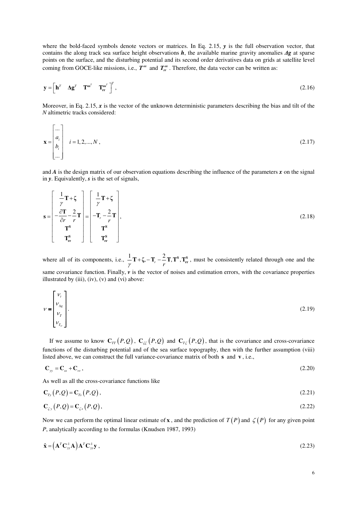where the bold-faced symbols denote vectors or matrices. In Eq. 2.15, *y* is the full observation vector, that contains the along track sea surface height observations *h*, the available marine gravity anomalies ∆*g* at sparse points on the surface, and the disturbing potential and its second order derivatives data on grids at satellite level coming from GOCE-like missions, i.e.,  $T^{\text{as}}$  and  $T^{\text{as}}_r$ . Therefore, the data vector can be written as:

$$
\mathbf{y} = \begin{bmatrix} \mathbf{h}^T & \mathbf{\Delta} \mathbf{g}^T & \mathbf{T}_{rr}^{\text{os}^T} \end{bmatrix}^T, \tag{2.16}
$$

Moreover, in Eq. 2.15,  $x$  is the vector of the unknown deterministic parameters describing the bias and tilt of the *N* altimetric tracks considered:

$$
\mathbf{x} = \begin{bmatrix} \dots \\ a_i \\ b_i \\ \dots \end{bmatrix} \quad i = 1, 2, \dots, N \tag{2.17}
$$

and  $\vec{A}$  is the design matrix of our observation equations describing the influence of the parameters  $\vec{x}$  on the signal in *y*. Equivalently, *s* is the set of signals,

$$
\mathbf{s} = \begin{bmatrix} \frac{1}{\gamma} \mathbf{T} + \zeta \\ -\frac{\partial \mathbf{T}}{\partial r} - \frac{2}{r} \mathbf{T} \\ -\frac{\mathbf{T}}{\partial r} \mathbf{T}^{\mathbf{s}} \\ \mathbf{T}^{\mathbf{s}}_{\mathbf{r}} \end{bmatrix} = \begin{bmatrix} \frac{1}{\gamma} \mathbf{T} + \zeta \\ -\mathbf{T}_{r} - \frac{2}{r} \mathbf{T} \\ -\mathbf{T}_{r} - \frac{2}{r} \mathbf{T} \\ \mathbf{T}^{\mathbf{s}}_{\mathbf{r}} \end{bmatrix},
$$
\n(2.18)

where all of its components, i.e.,  $\frac{1}{\gamma}T + \zeta$ ,  $T_r - \frac{2}{r}T$ ,  $T_s$ ,  $T_r$ , must be consistently related through one and the same covariance function. Finally,  $v$  is the vector of noises and estimation errors, with the covariance properties illustrated by (iii), (iv), (v) and (vi) above:

$$
v = \begin{bmatrix} v_{t} \\ v_{\Delta g} \\ v_{t} \\ v_{t_{n}} \end{bmatrix} . \tag{2.19}
$$

If we assume to know  $\mathbf{C}_{TT}(P,Q)$ ,  $\mathbf{C}_{\mathcal{L}\mathcal{L}}(P,Q)$  and  $\mathbf{C}_{T\mathcal{L}}(P,Q)$ , that is the covariance and cross-covariance functions of the disturbing potential and of the sea surface topography, then with the further assumption (viii) listed above, we can construct the full variance-covariance matrix of both **s** and **v** , i.e.,

$$
\mathbf{C}_{yy} = \mathbf{C}_{ss} + \mathbf{C}_{w},\tag{2.20}
$$

As well as all the cross-covariance functions like

$$
\mathbf{C}_{T_{\mathcal{Y}}}(P,Q) = \mathbf{C}_{T_{\mathcal{S}}}(P,Q),\tag{2.21}
$$

$$
\mathbf{C}_{\zeta y}(P,Q) = \mathbf{C}_{\zeta s}(P,Q),\tag{2.22}
$$

Now we can perform the optimal linear estimate of **x**, and the prediction of  $T(P)$  and  $\zeta(P)$  for any given point *P*, analytically according to the formulas (Knudsen 1987, 1993)

$$
\hat{\mathbf{x}} = (\mathbf{A}^T \mathbf{C}_{\mathbf{y} \mathbf{y}}^{\mathsf{T}} \mathbf{A}) \mathbf{A}^T \mathbf{C}_{\mathbf{y} \mathbf{y}}^{\mathsf{T}} \mathbf{y}, \tag{2.23}
$$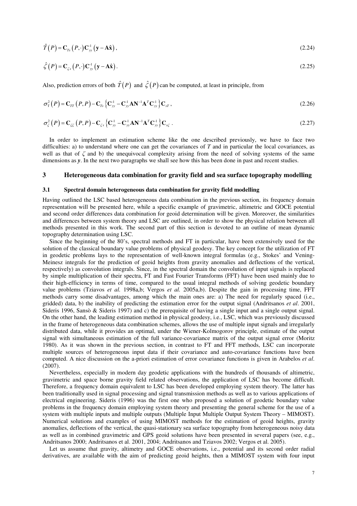$$
\hat{T}(P) = \mathbf{C}_{T_s}(P, \cdot)\mathbf{C}_{\mathbf{y}}^{\mathbf{1}}(\mathbf{y} - \mathbf{A}\hat{\mathbf{x}}),
$$
\n(2.24)

$$
\hat{\zeta}(P) = \mathbf{C}_{\zeta s}(P, \cdot) \mathbf{C}_{\mathbf{y} \mathbf{y}}^{\mathbf{1}} (\mathbf{y} - \mathbf{A} \hat{\mathbf{x}}).
$$
\n(2.25)

Also, prediction errors of both  $\hat{T}(P)$  and  $\hat{\zeta}(P)$  can be computed, at least in principle, from

$$
\sigma_{\rm T}^2(P) = \mathbf{C}_{\rm TT}(P,P) - \mathbf{C}_{\rm TS}\left\{\mathbf{C}_{\rm SY}^{\rm -1} - \mathbf{C}_{\rm SY}^{\rm -1}\mathbf{A}\mathbf{N}^{\rm -1}\mathbf{A}^{\rm T}\mathbf{C}_{\rm SY}^{\rm -1}\right\}\mathbf{C}_{\rm ST},\tag{2.26}
$$

$$
\sigma_{\zeta}^{2}(P) = \mathbf{C}_{\zeta\zeta}(P,P) - \mathbf{C}_{\zeta s}\left\{\mathbf{C}_{yy}^{1} - \mathbf{C}_{yy}^{1}\mathbf{A}\mathbf{N}^{-1}\mathbf{A}^{T}\mathbf{C}_{yy}^{1}\right\}\mathbf{C}_{s\zeta}.
$$
\n(2.27)

In order to implement an estimation scheme like the one described previously, we have to face two difficulties: a) to understand where one can get the covariances of *T* and in particular the local covariances, as well as that of  $\zeta$  and b) the unequivocal complexity arising from the need of solving systems of the same dimensions as *y*. In the next two paragraphs we shall see how this has been done in past and recent studies.

# **3 Heterogeneous data combination for gravity field and sea surface topography modelling**

#### **3.1 Spectral domain heterogeneous data combination for gravity field modelling**

Having outlined the LSC based heterogeneous data combination in the previous section, its frequency domain representation will be presented here, while a specific example of gravimetric, altimetric and GOCE potential and second order differences data combination for geoid determination will be given. Moreover, the similarities and differences between system theory and LSC are outlined, in order to show the physical relation between all methods presented in this work. The second part of this section is devoted to an outline of mean dynamic topography determination using LSC.

Since the beginning of the 80's, spectral methods and FT in particular, have been extensively used for the solution of the classical boundary value problems of physical geodesy. The key concept for the utilization of FT in geodetic problems lays to the representation of well-known integral formulas (e.g., Stokes' and Vening-Meinesz integrals for the prediction of geoid heights from gravity anomalies and deflections of the vertical, respectively) as convolution integrals. Since, in the spectral domain the convolution of input signals is replaced by simple multiplication of their spectra, FT and Fast Fourier Transforms (FFT) have been used mainly due to their high-efficiency in terms of time, compared to the usual integral methods of solving geodetic boundary value problems (Tziavos *et al.* 1998a,b; Vergos *et al.* 2005a,b). Despite the gain in processing time, FFT methods carry some disadvantages, among which the main ones are: a) The need for regularly spaced (i.e., gridded) data, b) the inability of predicting the estimation error for the output signal (Andritsanos *et al*. 2001, Sideris 1996, Sansò & Sideris 1997) and c) the prerequisite of having a single input and a single output signal. On the other hand, the leading estimation method in physical geodesy, i.e., LSC, which was previously discussed in the frame of heterogeneous data combination schemes, allows the use of multiple input signals and irregularly distributed data, while it provides an optimal, under the Wiener-Kolmogorov principle, estimate of the output signal with simultaneous estimation of the full variance-covariance matrix of the output signal error (Moritz 1980). As it was shown in the previous section, in contrast to FT and FFT methods, LSC can incorporate multiple sources of heterogeneous input data if their covariance and auto-covariance functions have been computed. A nice discussion on the a-priori estimation of error covariance functions is given in Arabelos *et al*. (2007).

Nevertheless, especially in modern day geodetic applications with the hundreds of thousands of altimetric, gravimetric and space borne gravity field related observations, the application of LSC has become difficult. Therefore, a frequency domain equivalent to LSC has been developed employing system theory. The latter has been traditionally used in signal processing and signal transmission methods as well as to various applications of electrical engineering. Sideris (1996) was the first one who proposed a solution of geodetic boundary value problems in the frequency domain employing system theory and presenting the general scheme for the use of a system with multiple inputs and multiple outputs (Multiple Input Multiple Output System Theory – MIMOST). Numerical solutions and examples of using MIMOST methods for the estimation of geoid heights, gravity anomalies, deflections of the vertical, the quasi-stationary sea surface topography from heterogeneous noisy data as well as in combined gravimetric and GPS geoid solutions have been presented in several papers (see, e.g., Andritsanos 2000; Andritsanos et al. 2001, 2004; Andritsanos and Tziavos 2002; Vergos et al. 2005).

Let us assume that gravity, altimetry and GOCE observations, i.e., potential and its second order radial derivatives, are available with the aim of predicting geoid heights, then a MIMOST system with four input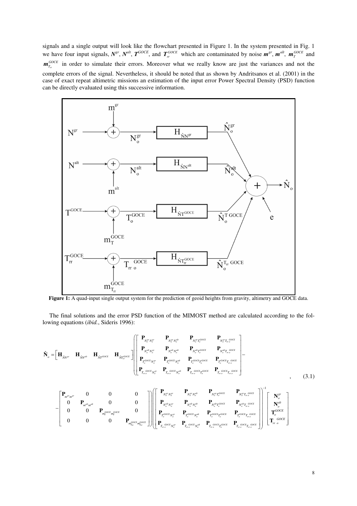signals and a single output will look like the flowchart presented in Figure 1. In the system presented in Fig. 1 we have four input signals,  $N^{gr}$ ,  $N^{alt}$ ,  $T^{GOCE}$ , and  $T_r^{GOCE}$  which are contaminated by noise  $m^{gr}$ ,  $m^{alt}$ ,  $m_T^{GOCE}$  and  $m_{T_{\pi}}^{GOCE}$  in order to simulate their errors. Moreover what we really know are just the variances and not the complete errors of the signal. Nevertheless, it should be noted that as shown by Andritsanos et al. (2001) in the case of exact repeat altimetric missions an estimation of the input error Power Spectral Density (PSD) function can be directly evaluated using this successive information.



Figure 1: A quad-input single output system for the prediction of geoid heights from gravity, altimetry and GOCE data.

The final solutions and the error PSD function of the MIMOST method are calculated according to the following equations (*ibid.*, Sideris 1996):

$$
\hat{\mathbf{N}}_{o} = \begin{bmatrix} \mathbf{H}_{\hat{N}N^{st}} & \mathbf{H}_{\hat{N}N^{dat}} & \mathbf{H}_{\hat{N}T^{GOCE}} & \mathbf{H}_{\hat{N}T^{GOCE}} \\ \mathbf{P}_{N^{alt}_{o}N^{st}} & \mathbf{P}_{N^{alt}_{o}N^{dat}} & \mathbf{P}_{N^{alt}_{o}N^{act}} & \mathbf{P}_{N^{alt}_{o}T^{GOCE}} & \mathbf{P}_{N^{alt}_{o}T_{ro}^{GOCE}} \\ \mathbf{P}_{T^{GOCE}_{o}N^{st}_{o}} & \mathbf{P}_{T^{GOCE}_{o}}N^{sat}_{o}} & \mathbf{P}_{T^{GOCE}_{o}}N^{cat}_{o}} & \mathbf{P}_{T^{GOCE}_{o}}N^{cat}_{o}} & \mathbf{P}_{T^{GOCE}_{o}}N^{CoCE}_{o}} \\ \mathbf{P}_{T^{GOCE}_{o}}N^{sat}_{o}} & \mathbf{P}_{T^{GOCE}_{o}}N^{sat}_{o}} & \mathbf{P}_{T^{GOCE}_{o}}N^{cat}_{o}} & \mathbf{P}_{T^{GOCE}_{o}}N^{CoCE}_{o}} & \mathbf{P}_{T^{GOCE}_{o}}N^{CoCE}_{o}} \\ \begin{bmatrix} \mathbf{P}_{m^{st}m^{st}} & 0 & 0 & 0 \\ 0 & \mathbf{P}_{m^{at}m^{at}} & 0 & 0 & 0 \\ 0 & 0 & \mathbf{P}_{m^{GOCE}_{o}}N^{act}_{o}} & 0 & 0 & 0 \\ 0 & 0 & 0 & \mathbf{P}_{m^{GOCE}_{o}}N^{act}_{o}} & \mathbf{P}_{N^{alt}_{o}}N^{at}_{o}} & \mathbf{P}_{N^{alt}_{o}}N^{at}_{o}} & \mathbf{P}_{N^{alt}_{o}}N^{act}_{o} & \mathbf{P}_{N^{alt}_{o}}N^{GOCE}_{o}} \\ \mathbf{P}_{T^{GOCE}_{o}}N^{cat}_{o}} & \mathbf{P}_{T^{GOCE}_{o}}N^{cat}_{o}} & \mathbf{P}_{T^{GOCE}_{o}}N^{cat}_{o}} & \mathbf{P}_{T^{GOCE}_{o}}N^{act}_{o}} & \mathbf{P}_{T^{GOCE}_{o}}N^{coc}_{o}} \\ \mathbf{P}_{T^{GOCE}_{o}}N^{act}_{o}} & \mathbf{P}_{T^{GOCE}_{o}}N^{cat}_{o}} & \mathbf{P}_{T^{GOCE}_{o}}N^{coc}_{o}} & \mathbf{P}_{T^{GOCE}_{o}}N^{coc}_{o}} \\ \end{b
$$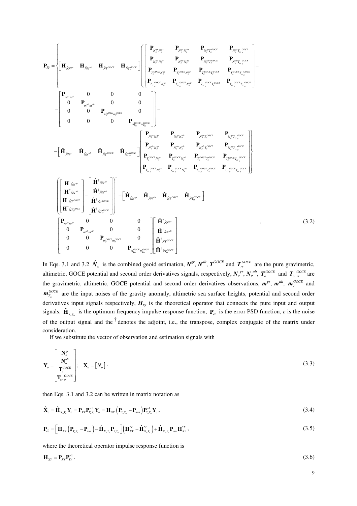$$
\mathbf{P}_{\hat{\alpha}} = \left\{ \begin{bmatrix} \mathbf{H}_{\hat{N}N^{\mu}} & \mathbf{H}_{\hat{N}P^{\mu\alpha\alpha}} & \mathbf{H}_{\hat{N}P^{\mu\alpha\alpha}} & \mathbf{H}_{\hat{N}P^{\mu\alpha\alpha}} & \mathbf{P}_{N_{\hat{\alpha}}^{\mu\alpha}N_{\hat{\alpha}}^{\mu\alpha}} & \mathbf{P}_{N_{\hat{\alpha}}^{\mu\alpha}N_{\hat{\alpha}}^{\mu\alpha}} & \mathbf{P}_{N_{\hat{\alpha}}^{\mu\alpha}T_{\hat{\alpha}}^{\mu\alpha\alpha}} & \mathbf{P}_{N_{\hat{\alpha}}^{\mu\alpha}T_{\hat{\alpha}}^{\mu\alpha\alpha}} \\ \mathbf{P}_{\hat{\alpha}}^{\mu\alpha\alpha\alpha\beta\mu} & \mathbf{P}_{\hat{\alpha}}^{\mu\alpha\alpha\alpha\beta\mu} & \mathbf{P}_{\hat{\alpha}}^{\mu\alpha\alpha\alpha\beta\mu} & \mathbf{P}_{\hat{\alpha}}^{\mu\alpha\alpha\alpha\beta\mu} & \mathbf{P}_{\hat{\alpha}}^{\mu\alpha\alpha\alpha\beta\mu} \\ \mathbf{P}_{\hat{\alpha}}^{\mu\alpha\alpha\alpha\beta\mu} & \mathbf{P}_{\hat{\alpha}}^{\mu\alpha\alpha\alpha\beta\mu} & \mathbf{P}_{\hat{\alpha}}^{\mu\alpha\alpha\alpha\beta\mu} & \mathbf{P}_{\hat{\alpha}}^{\mu\alpha\alpha\alpha\beta\mu} & \mathbf{P}_{\hat{\alpha}}^{\mu\alpha\alpha\alpha\beta\mu} & \mathbf{P}_{\hat{\alpha}}^{\mu\alpha\alpha\alpha\beta\mu} \\ 0 & 0 & \mathbf{P}_{m_{\hat{\alpha}}^{\mu\alpha\alpha\alpha}} & 0 & 0 \\ 0 & 0 & \mathbf{P}_{m_{\hat{\alpha}}^{\mu\alpha\alpha\alpha}} & 0 & 0 \\ \mathbf{P}_{m_{\hat{\alpha}}^{\mu\alpha\alpha\beta}} & \mathbf{P}_{N_{\hat{\alpha}}^{\mu\alpha\beta\beta}} & \mathbf{P}_{N_{\hat{\alpha}}^{\mu\alpha\beta}} & \mathbf{P}_{N_{\hat{\alpha}}^{\mu\alpha\beta}} & \mathbf{P}_{N_{\hat{\alpha}}^{\mu\alpha\beta\alpha\alpha}} & \mathbf{P}_{N_{\hat{\alpha}}^{\mu\alpha\beta\alpha\alpha}} \\ \mathbf{P}_{\hat{\alpha}}^{\mu\alpha\alpha\alpha
$$

In Eqs. 3.1 and 3.2  $\hat{N}_o$  is the combined geoid estimation,  $N^{gr}$ ,  $N^{alt}$ ,  $T^{GOCE}$  and  $T_r^{GOCE}$  are the pure gravimetric, altimetric, GOCE potential and second order derivatives signals, respectively,  $N_o^{gr}$ ,  $N_o^{alt}$ ,  $T_o^{GOCE}$  and  $T_o^{GOCE}$  are the gravimetric, altimetric, GOCE potential and second order derivatives observations,  $m^{gr}$ ,  $m^{alt}$ ,  $m^{GOCE}_T$  and  $m_{T_{\pi}}^{GOCE}$  are the input noises of the gravity anomaly, altimetric sea surface heights, potential and second order derivatives input signals respectively, *Hxy* is the theoretical operator that connects the pure input and output signals,  $\hat{\mathbf{H}}_{x_0, y_0}$  is the optimum frequency impulse response function,  $\mathbf{P}_{ee}$  is the error PSD function, *e* is the noise of the output signal and the  $\dagger$  denotes the adjoint, i.e., the transpose, complex conjugate of the matrix under consideration.

If we substitute the vector of observation and estimation signals with

$$
\mathbf{Y}_{o} = \begin{bmatrix} \mathbf{N}_{o}^{gr} \\ \mathbf{N}_{o}^{alt} \\ \mathbf{T}_{o}^{GOCE} \\ \mathbf{T}_{n}^{GOCE} \end{bmatrix}; \quad \mathbf{X}_{o} = [N_{o}] \tag{3.3}
$$

then Eqs. 3.1 and 3.2 can be written in matrix notation as

$$
\hat{\mathbf{X}}_{o} = \hat{\mathbf{H}}_{X_{o}Y_{o}} \mathbf{Y}_{o} = \mathbf{P}_{XY} \mathbf{P}_{Y_{o}Y_{o}}^{-1} \mathbf{Y}_{o} = \mathbf{H}_{XY} \left( \mathbf{P}_{Y_{o}Y_{o}} - \mathbf{P}_{mn} \right) \mathbf{P}_{Y_{o}Y_{o}}^{-1} \mathbf{Y}_{o}, \qquad (3.4)
$$

$$
\mathbf{P}_{\hat{e}\hat{e}} = \left[\mathbf{H}_{XY}\left(\mathbf{P}_{Y_{e}Y_{o}} - \mathbf{P}_{mm}\right) - \hat{\mathbf{H}}_{X_{o}Y_{o}}\mathbf{P}_{Y_{o}Y_{o}}\right] \left(\mathbf{H}_{XY}^{*T} - \hat{\mathbf{H}}_{X_{o}Y_{o}}^{*T}\right) + \hat{\mathbf{H}}_{X_{o}Y_{o}}\mathbf{P}_{mm}\mathbf{H}_{XY}^{*T}, \qquad (3.5)
$$

where the theoretical operator impulse response function is

$$
\mathbf{H}_{XY} = \mathbf{P}_{XY}\mathbf{P}_{YY}^{-1}.\tag{3.6}
$$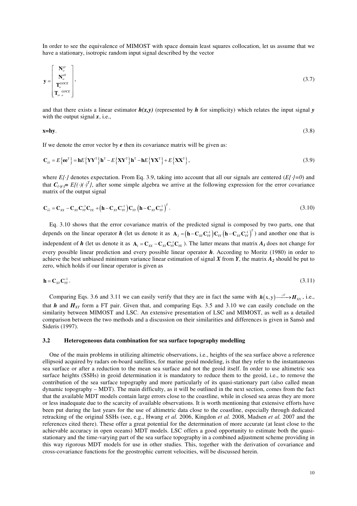In order to see the equivalence of MIMOST with space domain least squares collocation, let us assume that we have a stationary, isotropic random input signal described by the vector

$$
\mathbf{y} = \begin{bmatrix} \mathbf{N}_o^{gr} \\ \mathbf{N}_o^{alt} \\ \mathbf{T}_o^{GOCE} \\ \mathbf{T}_r \end{bmatrix},
$$
(3.7)

and that there exists a linear estimator  $h(x, y)$  (represented by h for simplicity) which relates the input signal y with the output signal  $\dot{x}$ , i.e.,

**x=hy**. (3.8)

If we denote the error vector by *e* then its covariance matrix will be given as:

$$
\mathbf{C}_{\hat{e}\hat{e}} = E\left\{ \mathbf{e}\mathbf{e}^{\mathrm{T}} \right\} = \mathbf{h}E\left\{ \mathbf{Y}\mathbf{Y}^{\mathrm{T}} \right\}\mathbf{h}^{\mathrm{T}} - E\left\{ \mathbf{X}\mathbf{Y}^{\mathrm{T}} \right\}\mathbf{h}^{\mathrm{T}} - \mathbf{h}E\left\{ \mathbf{Y}\mathbf{X}^{\mathrm{T}} \right\} + E\left\{ \mathbf{X}\mathbf{X}^{\mathrm{T}} \right\},\tag{3.9}
$$

where *E{·}* denotes expectation. From Eq. 3.9, taking into account that all our signals are centered (*E{*⋅*}=0*) and that  $C_{(\cdot)(\cdot)} = E\{(\cdot)(\cdot)^T\}$ , after some simple algebra we arrive at the following expression for the error covariance matrix of the output signal

$$
\mathbf{C}_{\hat{e}\hat{e}} = \mathbf{C}_{xx} - \mathbf{C}_{xx} \mathbf{C}_{YY}^{-1} \mathbf{C}_{xx} + \left(\mathbf{h} - \mathbf{C}_{xy} \mathbf{C}_{YY}^{-1}\right) \mathbf{C}_{YY} \left(\mathbf{h} - \mathbf{C}_{xy} \mathbf{C}_{YY}^{-1}\right)^T.
$$
 (3.10)

Eq. 3.10 shows that the error covariance matrix of the predicted signal is composed by two parts, one that depends on the linear operator *h* (let us denote it as  $A_2 = (h - C_{XY}C_{YY}^{-1})C_{YY}(h - C_{XY}C_{YY}^{-1})'$ *T*  $\mathbf{A}_2 = (\mathbf{h} - \mathbf{C}_{XY} \mathbf{C}_{YY}^{-1}) \mathbf{C}_{YY} (\mathbf{h} - \mathbf{C}_{XY} \mathbf{C}_{YY}^{-1})'$  and another one that is independent of *h* (let us denote it as  $A_1 = C_{XX} - C_{XY} C_{YY}^{-1} C_{XX}$ ). The latter means that matrix  $A_I$  does not change for every possible linear prediction and every possible linear operator *h*. According to Moritz (1980) in order to achieve the best unbiased minimum variance linear estimation of signal *X* from *Y*, the matrix *A2* should be put to zero, which holds if our linear operator is given as

$$
\mathbf{h} = \mathbf{C}_{XY}\mathbf{C}_{YY}^{-1}.\tag{3.11}
$$

Comparing Eqs. 3.6 and 3.11 we can easily verify that they are in fact the same with  $h(x, y) \rightarrow H_{XY}$ , i.e., that  $h$  and  $H_{XY}$  form a FT pair. Given that, and comparing Eqs. 3.5 and 3.10 we can easily conclude on the similarity between MIMOST and LSC. An extensive presentation of LSC and MIMOST, as well as a detailed comparison between the two methods and a discussion on their similarities and differences is given in Sansò and Sideris (1997).

## **3.2 Heterogeneous data combination for sea surface topography modelling**

One of the main problems in utilizing altimetric observations, i.e., heights of the sea surface above a reference ellipsoid acquired by radars on-board satellites, for marine geoid modeling, is that they refer to the instantaneous sea surface or after a reduction to the mean sea surface and not the geoid itself. In order to use altimetric sea surface heights (SSHs) in geoid determination it is mandatory to reduce them to the geoid, i.e., to remove the contribution of the sea surface topography and more particularly of its quasi-stationary part (also called mean dynamic topography – MDT). The main difficulty, as it will be outlined in the next section, comes from the fact that the available MDT models contain large errors close to the coastline, while in closed sea areas they are more or less inadequate due to the scarcity of available observations. It is worth mentioning that extensive efforts have been put during the last years for the use of altimetric data close to the coastline, especially through dedicated retracking of the original SSHs (see, e.g., Hwang *et al.* 2006, Kingdon *et al.* 2008, Madsen *et al.* 2007 and the references cited there). These offer a great potential for the determination of more accurate (at least close to the achievable accuracy in open oceans) MDT models. LSC offers a good opportunity to estimate both the quasistationary and the time-varying part of the sea surface topography in a combined adjustment scheme providing in this way rigorous MDT models for use in other studies. This, together with the derivation of covariance and cross-covariance functions for the geostrophic current velocities, will be discussed herein.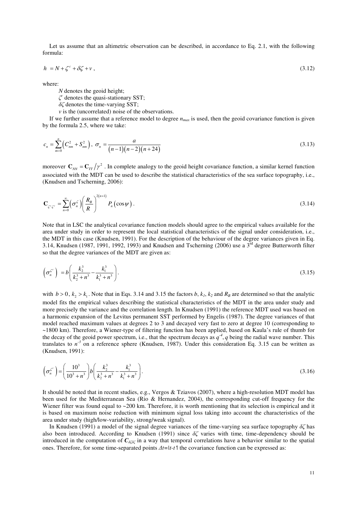Let us assume that an altimetric observation can be described, in accordance to Eq. 2.1, with the following formula:

$$
h = N + \zeta^c + \delta \zeta + v \,, \tag{3.12}
$$

where:

*N* denotes the geoid height;

ζ *c* denotes the quasi-stationary SST;

 $\delta\zeta$  denotes the time-varying SST;

*v* is the (uncorrelated) noise of the observations.

If we further assume that a reference model to degree  $n_{max}$  is used, then the geoid covariance function is given by the formula 2.5, where we take:

$$
c_n = \sum_{m=0}^{n} \left( C_{nm}^2 + S_{nm}^2 \right), \quad \sigma_n = \frac{a}{(n-1)(n-2)(n+24)} \tag{3.13}
$$

moreover  $C_{NN} = C_{TT}/\gamma^2$ . In complete analogy to the geoid height covariance function, a similar kernel function associated with the MDT can be used to describe the statistical characteristics of the sea surface topography, i.e., (Knudsen and Tscherning, 2006):

$$
\mathbf{C}_{\zeta^c \zeta^c} = \sum_{n=0}^{\infty} \left( \sigma_n^{\zeta} \right) \left( \frac{R_B}{R} \right)^{2(n+1)} P_n \left( \cos \psi \right). \tag{3.14}
$$

Note that in LSC the analytical covariance function models should agree to the empirical values available for the area under study in order to represent the local statistical characteristics of the signal under consideration, i.e., the MDT in this case (Knudsen, 1991). For the description of the behaviour of the degree variances given in Eq. 3.14, Knudsen (1987, 1991, 1992, 1993) and Knudsen and Tscherning (2006) use a  $3^{rd}$  degree Butterworth filter so that the degree variances of the MDT are given as:

$$
\left(\sigma_n^{\zeta^c}\right) = b\left(\frac{k_2^3}{k_2^3 + n^3} - \frac{k_1^3}{k_1^3 + n^3}\right). \tag{3.15}
$$

with  $b > 0$ ,  $k_1 > k_1$ . Note that in Eqs. 3.14 and 3.15 the factors *b*,  $k_1$ ,  $k_2$  and  $R_B$  are determined so that the analytic model fits the empirical values describing the statistical characteristics of the MDT in the area under study and more precisely the variance and the correlation length. In Knudsen (1991) the reference MDT used was based on a harmonic expansion of the Levitus permanent SST performed by Engelis (1987). The degree variances of that model reached maximum values at degrees 2 to 3 and decayed very fast to zero at degree 10 (corresponding to ~1800 km). Therefore, a Wiener-type of filtering function has been applied, based on Kaula's rule of thumb for the decay of the geoid power spectrum, i.e., that the spectrum decays as  $q^4$ , q being the radial wave number. This translates to  $n^{-3}$  on a reference sphere (Knudsen, 1987). Under this consideration Eq. 3.15 can be written as (Knudsen, 1991):

$$
\left(\sigma_n^{\zeta^c}\right) = \left(\frac{10^3}{10^3 + n^3}\right) b \left(\frac{k_2^3}{k_2^3 + n^3} - \frac{k_1^3}{k_1^3 + n^3}\right). \tag{3.16}
$$

It should be noted that in recent studies, e.g., Vergos & Tziavos (2007), where a high-resolution MDT model has been used for the Mediterranean Sea (Rio & Hernandez, 2004), the corresponding cut-off frequency for the Wiener filter was found equal to ~200 km. Therefore, it is worth mentioning that its selection is empirical and it is based on maximum noise reduction with minimum signal loss taking into account the characteristics of the area under study (high/low-variability, strong/weak signal).

In Knudsen (1991) a model of the signal degree variances of the time-varying sea surface topography  $\delta \zeta$  has also been introduced. According to Knudsen (1991) since  $\delta \zeta$  varies with time, time-dependency should be introduced in the computation of  $C_{\delta\delta\delta\zeta}$  in a way that temporal correlations have a behavior similar to the spatial ones. Therefore, for some time-separated points ∆*t=|t-t*′*|* the covariance function can be expressed as: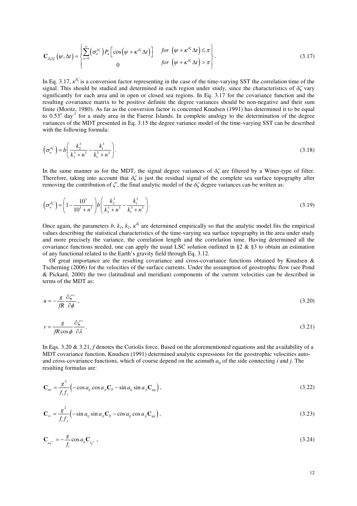$$
\mathbf{C}_{\delta\zeta\delta\zeta}\left(\psi,\Delta t\right) = \begin{cases} \sum_{n=0}^{\infty} \left(\sigma_n^{\delta\zeta}\right) P_n \left[\cos\left(\psi + \kappa^{\delta\zeta}\Delta t\right)\right] & \text{for } \left(\psi + \kappa^{\delta\zeta}\Delta t\right) \leq \pi \\ 0 & \text{for } \left(\psi + \kappa^{\delta\zeta}\Delta t\right) > \pi \end{cases} \tag{3.17}
$$

In Eq. 3.17,  $\kappa^{\delta\zeta}$  is a conversion factor representing in the case of the time-varying SST the correlation time of the signal. This should be studied and determined in each region under study, since the characteristics of  $\delta\zeta$  vary significantly for each area and in open or closed sea regions. In Eq. 3.17 for the covariance function and the resulting covariance matrix to be positive definite the degree variances should be non-negative and their sum finite (Moritz, 1980). As far as the conversion factor is concerned Knudsen (1991) has determined it to be equal to  $0.53^{\circ}$  day<sup>-1</sup> for a study area in the Faeroe Islands. In complete analogy to the determination of the degree variances of the MDT presented in Eq. 3.15 the degree variance model of the time-varying SST can be described with the following formula:

$$
\left(\sigma_n^{\delta\zeta}\right) = b\left(\frac{k_2^3}{k_2^3 + n^3} - \frac{k_1^3}{k_1^3 + n^3}\right). \tag{3.18}
$$

In the same manner as for the MDT, the signal degree variances of  $\delta \zeta$  are filtered by a Winer-type of filter. Therefore, taking into account that  $\delta \zeta$  is just the residual signal of the complete sea surface topography after removing the contribution of  $\zeta^c$ , the final analytic model of the  $\delta\zeta$  degree variances can be written as:

$$
\left(\sigma_n^{\delta\zeta}\right) = \left(1 - \frac{10^3}{10^3 + n^3}\right) b \left(\frac{k_2^3}{k_2^3 + n^3} - \frac{k_1^3}{k_1^3 + n^3}\right). \tag{3.19}
$$

Once again, the parameters  $b, k_1, k_2, \kappa^{\delta \zeta}$  are determined empirically so that the analytic model fits the empirical values describing the statistical characteristics of the time-varying sea surface topography in the area under study and more precisely the variance, the correlation length and the correlation time. Having determined all the covariance functions needed, one can apply the usual LSC solution outlined in §2  $\&$  §3 to obtain an estimation of any functional related to the Earth's gravity field through Eq. 3.12.

Of great importance are the resulting covariance and cross-covariance functions obtained by Knudsen  $\&$ Tscherning (2006) for the velocities of the surface currents. Under the assumption of geostrophic flow (see Pond & Pickard, 2000) the two (latitudinal and meridian) components of the current velocities can be described in terms of the MDT as:

$$
u = -\frac{g}{fR} \frac{\partial \zeta^c}{\partial \phi},\tag{3.20}
$$

$$
v = \frac{g}{fR\cos\phi} \frac{\partial \zeta^c}{\partial \lambda} \,. \tag{3.21}
$$

In Eqs. 3.20 & 3.21, *f* denotes the Coriolis force. Based on the aforementioned equations and the availability of a MDT covariance function, Knudsen (1991) determined analytic expressions for the geostrophic velocities autoand cross-covariance functions, which of course depend on the azimuth  $a_{ii}$  of the side connecting *i* and *j*. The resulting formulas are:

$$
\mathbf{C}_{uu} = \frac{g^2}{f_i f_j} \left( -\cos a_{ij} \cos a_{ji} \mathbf{C}_u - \sin a_{ij} \sin a_{ji} \mathbf{C}_{qq} \right),\tag{3.22}
$$

$$
\mathbf{C}_{\nu\nu} = \frac{g^2}{f_i f_j} \left( -\sin a_{ij} \sin a_{ji} \mathbf{C}_{ll} - \cos a_{ij} \cos a_{ji} \mathbf{C}_{qq} \right),\tag{3.23}
$$

$$
\mathbf{C}_{u\zeta^c} = -\frac{g}{f_i} \cos a_{ij} \mathbf{C}_{l\zeta^c} \,, \tag{3.24}
$$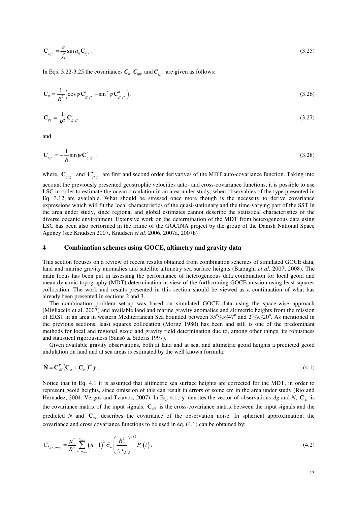$$
\mathbf{C}_{v\zeta^c} = \frac{g}{f_i} \sin a_{ij} \mathbf{C}_{l\zeta^c} \,. \tag{3.25}
$$

In Eqs. 3.22-3.25 the covariances  $C_{ll}$ ,  $C_{qq}$ , and  $C_{l\zeta^c}$  are given as follows:

$$
\mathbf{C}_{ll} = \frac{1}{R^2} \Big( \cos \psi \mathbf{C}'_{\zeta^c \zeta^c} - \sin^2 \psi \mathbf{C}''_{\zeta^c \zeta^c} \Big), \tag{3.26}
$$

$$
\mathbf{C}_{qq} = \frac{1}{R^2} \mathbf{C}'_{\zeta^c \zeta^c} \tag{3.27}
$$

and

$$
\mathbf{C}_{l\zeta^c} = -\frac{1}{R}\sin\psi \mathbf{C}'_{\zeta^c\zeta^c},\tag{3.28}
$$

where,  $C'_{\zeta^c\zeta^c}$  and  $C''_{\zeta^c\zeta^c}$  are first and second order derivatives of the MDT auto-covariance function. Taking into account the previously presented geostrophic velocities auto- and cross-covariance functions, it is possible to use LSC in order to estimate the ocean circulation in an area under study, when observables of the type presented in Eq. 3.12 are available. What should be stressed once more though is the necessity to derive covariance expressions which will fit the local characteristics of the quasi-stationary and the time-varying part of the SST in the area under study, since regional and global estimates cannot describe the statistical characteristics of the diverse oceanic environment. Extensive work on the determination of the MDT from heterogeneous data using LSC has been also performed in the frame of the GOCINA project by the group of the Danish National Space Agency (see Knudsen 2007, Knudsen *et al*. 2006, 2007a, 2007b)

## **4 Combination schemes using GOCE, altimetry and gravity data**

This section focuses on a review of recent results obtained from combination schemes of simulated GOCE data, land and marine gravity anomalies and satellite altimetry sea surface heights (Barzaghi *et al*. 2007, 2008). The main focus has been put in assessing the performance of heterogeneous data combination for local geoid and mean dynamic topography (MDT) determination in view of the forthcoming GOCE mission using least squares collocation. The work and results presented in this section should be viewed as a continuation of what has already been presented in sections 2 and 3.

The combination problem set-up was based on simulated GOCE data using the space-wise approach (Migliaccio et al. 2007) and available land and marine gravity anomalies and altimetric heights from the mission of ERS1 in an area in western Mediterranean Sea bounded between  $35^{\circ} \le \phi \le 47^{\circ}$  and  $2^{\circ} \le \lambda \le 20^{\circ}$ . As mentioned in the previous sections, least squares collocation (Moritz 1980) has been and still is one of the predominant methods for local and regional geoid and gravity field determination due to, among other things, its robustness and statistical rigorousness (Sansò & Sideris 1997).

Given available gravity observations, both at land and at sea, and altimetric geoid heights a predicted geoid undulation on land and at sea areas is estimated by the well known formula:

$$
\hat{\mathbf{N}} = \mathbf{C}_{sN}^T \left( \mathbf{C}_{ss} + \mathbf{C}_{vv} \right)^{-1} \mathbf{y} \tag{4.1}
$$

Notice that in Eq. 4.1 it is assumed that altimetric sea surface heights are corrected for the MDT, in order to represent geoid heights, since omission of this can result in errors of some cm in the area under study (Rio and Hernadez, 2004; Vergos and Tziavos, 2007). In Eq. 4.1, **y** denotes the vector of observations  $\Delta g$  and  $N$ ,  $C_s$  is the covariance matrix of the input signals,  $C_{N}$  is the cross-covariance matrix between the input signals and the predicted N and  $\mathbf{C}_w$  describes the covariance of the observation noise. In spherical approximation, the covariance and cross covariance functions to be used in eq. (4.1) can be obtained by:

$$
C_{\Delta g_{P}, \Delta g_{Q}} = \frac{\mu^{2}}{R^{4}} \sum_{n=n_{\min}}^{n_{\max}} (n-1)^{2} \tilde{\sigma}_{n} \left(\frac{R_{B}^{2}}{r_{P} r_{Q}}\right)^{n+2} P_{n}(t), \qquad (4.2)
$$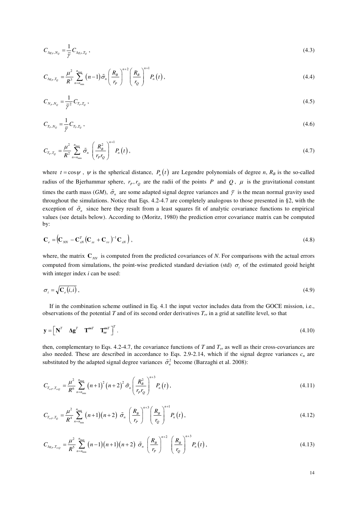$$
C_{\Delta g_P, N_Q} = \frac{1}{\overline{\gamma}} C_{\Delta g_P, T_Q},\tag{4.3}
$$

$$
C_{\Delta g_P, T_Q} = \frac{\mu^2}{R^3} \sum_{n=n_{\min}}^{n_{\max}} (n-1) \tilde{\sigma}_n \left(\frac{R_B}{r_P}\right)^{n+2} \left(\frac{R_B}{r_Q}\right)^{n+1} P_n(t), \qquad (4.4)
$$

$$
C_{N_p,N_Q} = \frac{1}{\overline{\gamma}^2} C_{T_p,T_Q} \,, \tag{4.5}
$$

$$
C_{T_p, N_Q} = \frac{1}{\bar{\gamma}} C_{T_p, T_Q}, \qquad (4.6)
$$

$$
C_{T_p,T_Q} = \frac{\mu^2}{R^2} \sum_{n=n_{\min}}^{n_{\max}} \tilde{\sigma}_n \left(\frac{R_B^2}{r_p r_Q}\right)^{n+1} P_n(t), \qquad (4.7)
$$

where  $t = \cos \psi$ ,  $\psi$  is the spherical distance,  $P_n(t)$  are Legendre polynomials of degree *n*,  $R_B$  is the so-called radius of the Bjerhammar sphere,  $r_p, r_q$  are the radii of the points *P* and *Q*,  $\mu$  is the gravitational constant times the earth mass (*GM*),  $\tilde{\sigma}_n$  are some adapted signal degree variances and  $\bar{\gamma}$  is the mean normal gravity used throughout the simulations. Notice that Eqs. 4.2-4.7 are completely analogous to those presented in §2, with the exception of  $\tilde{\sigma}_n$  since here they result from a least squares fit of analytic covariance functions to empirical values (see details below). According to (Moritz, 1980) the prediction error covariance matrix can be computed by:

$$
\mathbf{C}_e = \left(\mathbf{C}_{NN} - \mathbf{C}_{sN}^T \left(\mathbf{C}_{ss} + \mathbf{C}_{vv}\right)^{-1} \mathbf{C}_{sN}\right),\tag{4.8}
$$

where, the matrix  $\mathbf{C}_{NN}$  is computed from the predicted covariances of N. For comparisons with the actual errors computed from simulations, the point-wise predicted standard deviation (std)  $\sigma_i$  of the estimated geoid height with integer index *i* can be used:

$$
\sigma_i = \sqrt{\mathbf{C}_e(i,i)}\,,\tag{4.9}
$$

If in the combination scheme outlined in Eq. 4.1 the input vector includes data from the GOCE mission, i.e., observations of the potential *T* and of its second order derivatives  $T_r$  in a grid at satellite level, so that

$$
\mathbf{y} = \begin{bmatrix} \mathbf{N}^T & \mathbf{\Delta} \mathbf{g}^T & \mathbf{T}^{\text{os}T} & \mathbf{T}^{\text{os}T} \end{bmatrix}^T.
$$
 (4.10)

then, complementary to Eqs. 4.2-4.7, the covariance functions of T and  $T_r$  as well as their cross-covariances are also needed. These are described in accordance to Eqs. 2.9-2.14, which if the signal degree variances  $c_n$  are substituted by the adapted signal degree variances  $\tilde{\sigma}_n^2$  become (Barzaghi et al. 2008):

$$
C_{T_{rr},T_{rc}} = \frac{\mu^2}{R^6} \sum_{n=n_{\min}}^{n_{\max}} (n+1)^2 (n+2)^2 \tilde{\sigma}_n \left( \frac{R_B^2}{r_p r_Q} \right)^{n+3} P_n(t) , \qquad (4.11)
$$

$$
C_{T_{\text{FP}},T_Q} = \frac{\mu^2}{R^4} \sum_{n=n_{\text{min}}}^{n_{\text{max}}} (n+1)(n+2) \tilde{\sigma}_n \left(\frac{R_B}{r_P}\right)^{n+3} \left(\frac{R_B}{r_Q}\right)^{n+1} P_n(t), \qquad (4.12)
$$

$$
C_{\Delta g_P, T_{req}} = \frac{\mu^2}{R^5} \sum_{n = n_{\min}}^{n_{\max}} (n-1)(n+1)(n+2) \tilde{\sigma}_n \left(\frac{R_B}{r_P}\right)^{n+2} \left(\frac{R_B}{r_Q}\right)^{n+3} P_n(t) , \qquad (4.13)
$$

14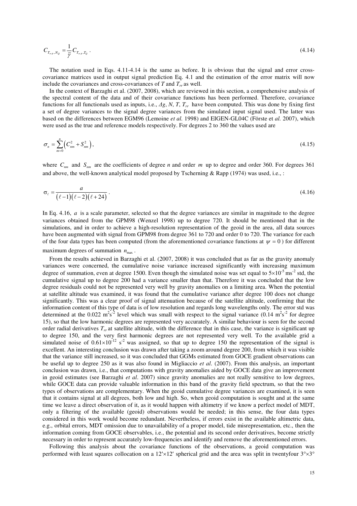$$
C_{T_{\pi_p}, N_Q} = \frac{1}{\bar{\gamma}} C_{T_{\pi_p}, T_Q} \,. \tag{4.14}
$$

The notation used in Eqs. 4.11-4.14 is the same as before. It is obvious that the signal and error crosscovariance matrices used in output signal prediction Eq. 4.1 and the estimation of the error matrix will now include the covariances and cross-covariances of  $T$  and  $T_r$  as well.

In the context of Barzaghi et al. (2007, 2008), which are reviewed in this section, a comprehensive analysis of the spectral content of the data and of their covariance functions has been performed. Therefore, covariance functions for all functionals used as inputs, i.e., ∆*g*, *N*, *T*, *Trr* have been computed. This was done by fixing first a set of degree variances to the signal degree variances from the simulated input signal used. The latter was based on the differences between EGM96 (Lemoine *et al.* 1998) and EIGEN-GL04C (Förste et *al.* 2007), which were used as the true and reference models respectively. For degrees 2 to 360 the values used are

$$
\sigma_n = \sum_{m=0}^n \left( C_{nm}^2 + S_{nm}^2 \right),\tag{4.15}
$$

where  $C_{nm}$  and  $S_{nm}$  are the coefficients of degree *n* and order *m* up to degree and order 360. For degrees 361 and above, the well-known analytical model proposed by Tscherning & Rapp (1974) was used, i.e., :

$$
\sigma_{\ell} = \frac{a}{(\ell-1)(\ell-2)(\ell+24)}.
$$
\n
$$
(4.16)
$$

In Eq. 4.16, *a* is a scale parameter, selected so that the degree variances are similar in magnitude to the degree variances obtained from the GPM98 (Wenzel 1998) up to degree 720. It should be mentioned that in the simulations, and in order to achieve a high-resolution representation of the geoid in the area, all data sources have been augmented with signal from GPM98 from degree 361 to 720 and order 0 to 720. The variance for each of the four data types has been computed (from the aforementioned covariance functions at  $\psi = 0$ ) for different

maximum degrees of summation  $n_{\text{max}}$ .

From the results achieved in Barzaghi et al. (2007, 2008) it was concluded that as far as the gravity anomaly variances were concerned, the cumulative noise variance increased significantly with increasing maximum degree of summation, even at degree 1500. Even though the simulated noise was set equal to  $5\times10^{-5}$  ms<sup>-2</sup> std, the cumulative signal up to degree 200 had a variance smaller than that. Therefore it was concluded that the low degree residuals could not be represented very well by gravity anomalies on a limiting area. When the potential at satellite altitude was examined, it was found that the cumulative variance after degree 100 does not change significantly. This was a clear proof of signal attenuation because of the satellite altitude, confirming that the information content of this type of data is of low resolution and regards long wavelengths only. The error std was determined at the 0.022 m<sup>2</sup>s<sup>-2</sup> level which was small with respect to the signal variance (0.14 m<sup>2</sup>s<sup>-2</sup> for degree 15), so that the low harmonic degrees are represented very accurately. A similar behaviour is seen for the second order radial derivatives  $T_r$  at satellite altitude, with the difference that in this case, the variance is significant up to degree 150, and the very first harmonic degrees are not represented very well. To the available grid a simulated noise of  $0.61\times10^{-12}$  s<sup>-2</sup> was assigned, so that up to degree 150 the representation of the signal is excellent. An interesting conclusion was drawn after taking a zoom around degree 200, from which it was visible that the variance still increased, so it was concluded that GGMs estimated from GOCE gradient observations can be useful up to degree 250 as it was also found in Migliaccio *et al*. (2007). From this analysis, an important conclusion was drawn, i.e., that computations with gravity anomalies aided by GOCE data give an improvement in geoid estimates (see Barzaghi *et al*. 2007) since gravity anomalies are not really sensitive to low degrees, while GOCE data can provide valuable information in this band of the gravity field spectrum, so that the two types of observations are complementary. When the geoid cumulative degree variances are examined, it is seen that it contains signal at all degrees, both low and high. So, when geoid computation is sought and at the same time we leave a direct observation of it, as it would happen with altimetry if we know a perfect model of MDT, only a filtering of the available (geoid) observations would be needed; in this sense, the four data types considered in this work would become redundant. Nevertheless, if errors exist in the available altimetric data, e.g., orbital errors, MDT omission due to unavailability of a proper model, tide misrepresentation, etc., then the information coming from GOCE observables, i.e., the potential and its second order derivatives, become strictly necessary in order to represent accurately low-frequencies and identify and remove the aforementioned errors.

Following this analysis about the covariance functions of the observations, a geoid computation was performed with least squares collocation on a  $12\times12'$  spherical grid and the area was split in twentyfour  $3^{\circ}\times3^{\circ}$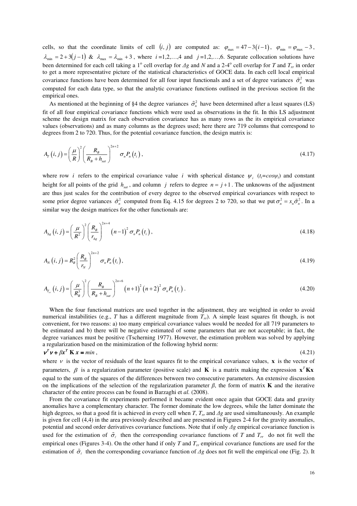cells, so that the coordinate limits of cell  $(i, j)$  are computed as:  $\varphi_{\text{max}} = 47 - 3(i-1)$ ,  $\varphi_{\text{min}} = \varphi_{\text{max}} - 3$ ,  $\lambda_{\min} = 2 + 3(j - 1)$  &  $\lambda_{\max} = \lambda_{\min} + 3$ , where  $i = 1, 2, \ldots, 4$  and  $j = 1, 2, \ldots, 6$ . Separate collocation solutions have been determined for each cell taking a 1<sup>o</sup> cell overlap for  $\Delta g$  and  $N$  and a 2-4<sup>o</sup> cell overlap for  $T$  and  $T_{rr}$  in order to get a more representative picture of the statistical characteristics of GOCE data. In each cell local empirical covariance functions have been determined for all four input functionals and a set of degree variances  $\tilde{\sigma}_n^2$  was computed for each data type, so that the analytic covariance functions outlined in the previous section fit the empirical ones.

As mentioned at the beginning of §4 the degree variances  $\tilde{\sigma}_n^2$  have been determined after a least squares (LS) fit of all four empirical covariance functions which were used as observations in the fit. In this LS adjustment scheme the design matrix for each observation covariance has as many rows as the its empirical covariance values (observations) and as many columns as the degrees used; here there are 719 columns that correspond to degrees from 2 to 720. Thus, for the potential covariance function, the design matrix is:

$$
A_{T}\left(i,j\right) = \left(\frac{\mu}{R}\right)^{2} \left(\frac{R_{B}}{R_{B}+h_{sat}}\right)^{2n+2} \sigma_{n} P_{n}\left(t_{i}\right),\tag{4.17}
$$

where row *i* refers to the empirical covariance value *i* with spherical distance  $\psi_i$  ( $t_i = cos \psi_i$ ) and constant height for all points of the grid  $h_{\text{out}}$ , and column *j* refers to degree  $n = j + 1$ . The unknowns of the adjustment are thus just scales for the contribution of every degree to the observed empirical covariances with respect to some prior degree variances  $\tilde{\sigma}_n^2$  computed from Eq. 4.15 for degrees 2 to 720, so that we put  $\sigma_n^2 = x_n \tilde{\sigma}_n^2$ . In a similar way the design matrices for the other functionals are:

$$
A_{\text{Ag}}\left(i,j\right) = \left(\frac{\mu}{R^2}\right)^2 \left(\frac{R_B}{r_{\text{Ag}}}\right)^{2n+4} \left(n-1\right)^2 \sigma_n P_n\left(t_i\right),\tag{4.18}
$$

$$
A_N(i,j) = R_B^2 \left(\frac{R_B}{r_N}\right)^{2n+2} \sigma_n P_n(t_i), \qquad (4.19)
$$

$$
A_{T_n}(i,j) = \left(\frac{\mu}{R_B^3}\right)^2 \left(\frac{R_B}{R_B + h_{sat}}\right)^{2n+6} \left(n+1\right)^2 \left(n+2\right)^2 \sigma_n P_n\left(t_i\right). \tag{4.20}
$$

When the four functional matrices are used together in the adjustment, they are weighted in order to avoid numerical instabilities (e.g., *T* has a different magnitude from *Trr*). A simple least squares fit though, is not convenient, for two reasons: a) too many empirical covariance values would be needed for all 719 parameters to be estimated and b) there will be negative estimated of some parameters that are not acceptable; in fact, the degree variances must be positive (Tscherning 1977). However, the estimation problem was solved by applying a regularization based on the minimization of the following hybrid norm:

$$
\mathbf{v}^T \mathbf{v} + \beta \mathbf{x}^T \mathbf{K} \mathbf{x} = \min \,,\tag{4.21}
$$

where  $\nu$  is the vector of residuals of the least squares fit to the empirical covariance values, **x** is the vector of parameters,  $\beta$  is a regularization parameter (positive scale) and **K** is a matrix making the expression **x**<sup>*T*</sup> **Kx** equal to the sum of the squares of the differences between two consecutive parameters. An extensive discussion on the implications of the selection of the regularization parameter  $\beta$ , the form of matrix **K** and the iterative character of the entire process can be found in Barzaghi et *al.* (2008).

From the covariance fit experiments performed it became evident once again that GOCE data and gravity anomalies have a complementary character. The former dominate the low degrees, while the latter dominate the high degrees, so that a good fit is achieved in every cell when *T*,  $T_r$  and  $\Delta g$  are used simultaneously. An example is given for cell (4,4) in the area previously described and are presented in Figures 2-4 for the gravity anomalies, potential and second order derivatives covariance functions. Note that if only ∆*g* empirical covariance function is used for the estimation of  $\tilde{\sigma}_{\ell}$  then the corresponding covariance functions of *T* and  $T_{rr}$  do not fit well the empirical ones (Figures 3-4). On the other hand if only *T* and *Trr* empirical covariance functions are used for the estimation of  $\tilde{\sigma}$ , then the corresponding covariance function of  $\Delta g$  does not fit well the empirical one (Fig. 2). It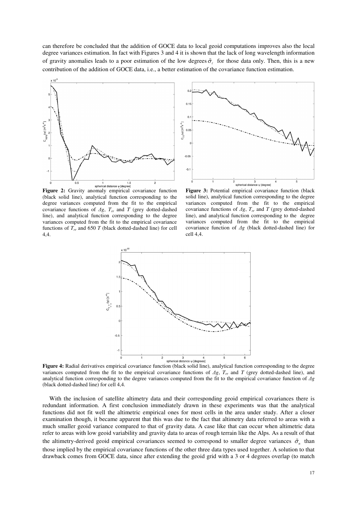can therefore be concluded that the addition of GOCE data to local geoid computations improves also the local degree variances estimation. In fact with Figures 3 and 4 it is shown that the lack of long wavelength information of gravity anomalies leads to a poor estimation of the low degrees  $\tilde{\sigma}_{\ell}$  for those data only. Then, this is a new contribution of the addition of GOCE data, i.e., a better estimation of the covariance function estimation.



**Figure 2:** Gravity anomaly empirical covariance function (black solid line), analytical function corresponding to the degree variances computed from the fit to the empirical covariance functions of ∆*g*, *Trr* and *T* (grey dotted-dashed line), and analytical function corresponding to the degree variances computed from the fit to the empirical covariance functions of  $T_r$  and 650 *T* (black dotted-dashed line) for cell 4,4.



**Figure 3:** Potential empirical covariance function (black solid line), analytical function corresponding to the degree variances computed from the fit to the empirical covariance functions of ∆*g*, *Trr* and *T* (grey dotted-dashed line), and analytical function corresponding to the degree variances computed from the fit to the empirical covariance function of ∆*g* (black dotted-dashed line) for cell 4,4.



**Figure 4:** Radial derivatives empirical covariance function (black solid line), analytical function corresponding to the degree variances computed from the fit to the empirical covariance functions of  $\Delta g$ ,  $T_r$  and *T* (grey dotted-dashed line), and analytical function corresponding to the degree variances computed from the fit to the empirical covariance function of ∆*g* (black dotted-dashed line) for cell 4,4.

With the inclusion of satellite altimetry data and their corresponding geoid empirical covariances there is redundant information. A first conclusion immediately drawn in these experiments was that the analytical functions did not fit well the altimetric empirical ones for most cells in the area under study. After a closer examination though, it became apparent that this was due to the fact that altimetry data referred to areas with a much smaller geoid variance compared to that of gravity data. A case like that can occur when altimetric data refer to areas with low geoid variability and gravity data to areas of rough terrain like the Alps. As a result of that the altimetry-derived geoid empirical covariances seemed to correspond to smaller degree variances  $\tilde{\sigma}_n$  than those implied by the empirical covariance functions of the other three data types used together. A solution to that drawback comes from GOCE data, since after extending the geoid grid with a 3 or 4 degrees overlap (to match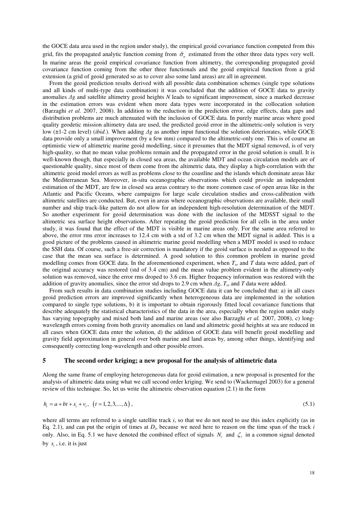the GOCE data area used in the region under study), the empirical geoid covariance function computed from this grid, fits the propagated analytic function coming from  $\tilde{\sigma}_n$  estimated from the other three data types very well. In marine areas the geoid empirical covariance function from altimetry, the corresponding propagated geoid covariance function coming from the other three functionals and the geoid empirical function from a grid extension (a grid of geoid generated so as to cover also some land areas) are all in agreement.

From the geoid prediction results derived with all possible data combination schemes (single type solutions and all kinds of multi-type data combination) it was concluded that the addition of GOCE data to gravity anomalies ∆*g* and satellite altimetry geoid heights *N* leads to significant improvement, since a marked decrease in the estimation errors was evident when more data types were incorporated in the collocation solution (Barzaghi *et al.* 2007, 2008). In addition to the reduction in the prediction error, edge effects, data gaps and distribution problems are much attenuated with the inclusion of GOCE data. In purely marine areas where good quality geodetic mission altimetry data are used, the predicted geoid error in the altimetric-only solution is very low (±1-2 cm level) (*ibid.*). When adding ∆*g* as another input functional the solution deteriorates, while GOCE data provide only a small improvement (by a few mm) compared to the altimetric-only one. This is of course an optimistic view of altimetric marine geoid modelling, since it presumes that the MDT signal removed, is of very high-quality, so that no mean value problems remain and the propagated error in the geoid solution is small. It is well-known though, that especially in closed sea areas, the available MDT and ocean circulation models are of questionable quality, since most of them come from the altimetric data, they display a high-correlation with the altimetric geoid model errors as well as problems close to the coastline and the islands which dominate areas like the Mediterranean Sea. Moreover, in-situ oceanographic observations which could provide an independent estimation of the MDT, are few in closed sea areas contrary to the more common case of open areas like in the Atlantic and Pacific Oceans, where campaigns for large scale circulation studies and cross-calibration with altimetric satellites are conducted. But, even in areas where oceanographic observations are available, their small number and ship track-like pattern do not allow for an independent high-resolution determination of the MDT. So another experiment for geoid determination was done with the inclusion of the MDSST signal to the altimetric sea surface height observations. After repeating the geoid prediction for all cells in the area under study, it was found that the effect of the MDT is visible in marine areas only. For the same area referred to above, the error rms error increases to 12.4 cm with a std of 3.2 cm when the MDT signal is added. This is a good picture of the problems caused in altimetric marine geoid modelling when a MDT model is used to reduce the SSH data. Of course, such a free-air correction is mandatory if the geoid surface is needed as opposed to the case that the mean sea surface is determined. A good solution to this common problem in marine geoid modelling comes from GOCE data. In the aforementioned experiment, when *Trr* and *T* data were added, part of the original accuracy was restored (std of 3.4 cm) and the mean value problem evident in the altimetry-only solution was removed, since the error rms droped to 3.6 cm. Higher frequency information was restored with the addition of gravity anomalies, since the error std drops to 2.9 cm when ∆*g*, *Trr* and *T* data were added.

From such results in data combination studies including GOCE data it can be concluded that: a) in all cases geoid prediction errors are improved significantly when heterogeneous data are implemented in the solution compared to single type solutions, b) it is important to obtain rigorously fitted local covariance functions that describe adequately the statistical characteristics of the data in the area, especially when the region under study has varying topography and mixed both land and marine areas (see also Barzaghi *et al.* 2007, 2008), c) longwavelength errors coming from both gravity anomalies on land and altimetric geoid heights at sea are reduced in all cases when GOCE data enter the solution, d) the addition of GOCE data will benefit geoid modelling and gravity field approximation in general over both marine and land areas by, among other things, identifying and consequently correcting long-wavelength and other possible errors.

## **5 The second order kriging; a new proposal for the analysis of altimetric data**

Along the same frame of employing heterogeneous data for geoid estimation, a new proposal is presented for the analysis of altimetric data using what we call second order kriging. We send to (Wackernagel 2003) for a general review of this technique. So, let us write the altimetric observation equation (2.1) in the form

$$
h_t = a + bt + s_t + v_t, \quad (t = 1, 2, 3, \dots, \Delta), \tag{5.1}
$$

where all terms are referred to a single satellite track *i*, so that we do not need to use this index explicitly (as in Eq. 2.1), and can put the origin of times at  $D_i$ , because we need here to reason on the time span of the track  $i$ only. Also, in Eq. 5.1 we have denoted the combined effect of signals  $N_t$  and  $\zeta_t$  in a common signal denoted by  $s_t$ , i.e. it is just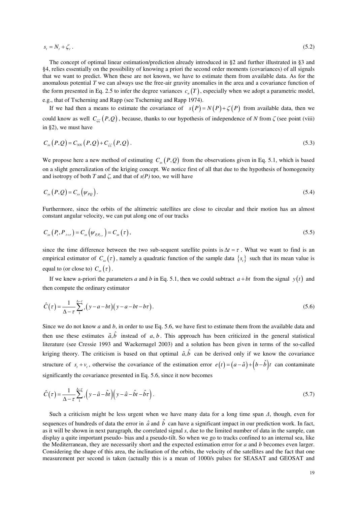$$
s_t = N_t + \zeta_t \,. \tag{5.2}
$$

The concept of optimal linear estimation/prediction already introduced in §2 and further illustrated in §3 and §4, relies essentially on the possibility of knowing a priori the second order moments (covariances) of all signals that we want to predict. When these are not known, we have to estimate them from available data. As for the anomalous potential *T* we can always use the free-air gravity anomalies in the area and a covariance function of the form presented in Eq. 2.5 to infer the degree variances  $c_n(T)$ , especially when we adopt a parametric model, e.g., that of Tscherning and Rapp (see Tscherning and Rapp 1974).

If we had then a means to estimate the covariance of  $s(P) = N(P) + \zeta(P)$  from available data, then we could know as well  $C_{\alpha}(P,Q)$ , because, thanks to our hypothesis of independence of *N* from  $\zeta$  (see point (viii) in §2), we must have

$$
C_{ss}(P,Q) = C_{NN}(P,Q) + C_{\zeta\zeta}(P,Q). \tag{5.3}
$$

We propose here a new method of estimating  $C_{\rm ss}(P,Q)$  from the observations given in Eq. 5.1, which is based on a slight generalization of the kriging concept. We notice first of all that due to the hypothesis of homogeneity and isotropy of both *T* and  $\zeta$ , and that of  $s(P)$  too, we will have

$$
C_{ss}(P,Q) = C_{ss}(\psi_{PQ}). \tag{5.4}
$$

Furthermore, since the orbits of the altimetric satellites are close to circular and their motion has an almost constant angular velocity, we can put along one of our tracks

$$
C_{ss}(P_{t}, P_{t+\tau}) = C_{ss}(\psi_{P_{t}P_{t+\tau}}) = C_{ss}(\tau),
$$
\n(5.5)

since the time difference between the two sub-sequent satellite points is  $\Delta t = \tau$ . What we want to find is an empirical estimator of  $C_{ss}(\tau)$ , namely a quadratic function of the sample data  $\{s_t\}$  such that its mean value is equal to (or close to)  $C_{ss}(\tau)$ .

If we knew a-priori the parameters *a* and *b* in Eq. 5.1, then we could subtract  $a + bt$  from the signal  $y(t)$  and then compute the ordinary estimator

$$
\hat{C}(\tau) = \frac{1}{\Delta - \tau} \sum_{1}^{\Delta - \tau} \left( y - a - bt \right) \left( y - a - bt - b\tau \right). \tag{5.6}
$$

Since we do not know *a* and *b*, in order to use Eq. 5.6, we have first to estimate them from the available data and then use these estimates  $\hat{a}, \hat{b}$  instead of *a*, *b*. This approach has been criticized in the general statistical literature (see Cressie 1993 and Wackernagel 2003) and a solution has been given in terms of the so-called kriging theory. The criticism is based on that optimal  $\hat{a}, \hat{b}$  can be derived only if we know the covariance structure of  $s_t + v_t$ , otherwise the covariance of the estimation error  $e(t) = (a - \hat{a}) + (b - \hat{b})t$  can contaminate significantly the covariance presented in Eq. 5.6, since it now becomes

$$
\hat{C}(\tau) = \frac{1}{\Delta - \tau} \sum_{i=1}^{\Delta - \tau} \left( y - \hat{a} - \hat{b}t \right) \left( y - \hat{a} - \hat{b}t - \hat{b}\tau \right). \tag{5.7}
$$

Such a criticism might be less urgent when we have many data for a long time span  $\Delta$ , though, even for sequences of hundreds of data the error in  $\hat{a}$  and  $\hat{b}$  can have a significant impact in our prediction work. In fact, as it will be shown in next paragraph, the correlated signal *s*, due to the limited number of data in the sample, can display a quite important pseudo- bias and a pseudo-tilt. So when we go to tracks confined to an internal sea, like the Mediterranean, they are necessarily short and the expected estimation error for *a* and *b* becomes even larger. Considering the shape of this area, the inclination of the orbits, the velocity of the satellites and the fact that one measurement per second is taken (actually this is a mean of 1000/s pulses for SEASAT and GEOSAT and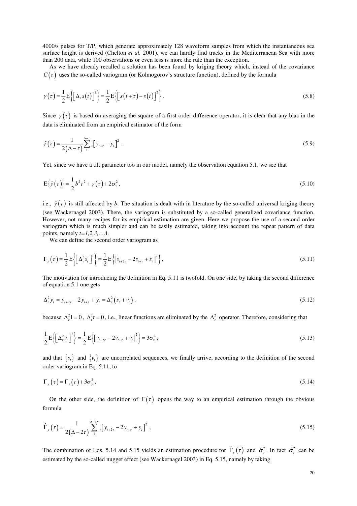4000/s pulses for T/P, which generate approximately 128 waveform samples from which the instantaneous sea surface height is derived (Chelton *et al.* 2001), we can hardly find tracks in the Mediterranean Sea with more than 200 data, while 100 observations or even less is more the rule than the exception.

As we have already recalled a solution has been found by kriging theory which, instead of the covariance  $C(\tau)$  uses the so-called variogram (or Kolmogorov's structure function), defined by the formula

$$
\gamma(\tau) = \frac{1}{2} \mathbb{E} \left\{ \left[ \Delta_r s(t) \right]^2 \right\} = \frac{1}{2} \mathbb{E} \left\{ \left[ s(t+\tau) - s(t) \right]^2 \right\}. \tag{5.8}
$$

Since  $\gamma(\tau)$  is based on averaging the square of a first order difference operator, it is clear that any bias in the data is eliminated from an empirical estimator of the form

$$
\hat{y}(\tau) = \frac{1}{2(\Delta - \tau)} \sum_{i=1}^{\Delta - \tau} \left[ y_{i+\tau} - y_i \right]^2 \,. \tag{5.9}
$$

Yet, since we have a tilt parameter too in our model, namely the observation equation 5.1, we see that

$$
E\{\hat{\gamma}(\tau)\} = \frac{1}{2}b^2\tau^2 + \gamma(\tau) + 2\sigma_v^2,
$$
\n(5.10)

i.e.,  $\hat{y}(\tau)$  is still affected by *b*. The situation is dealt with in literature by the so-called universal kriging theory (see Wackernagel 2003). There, the variogram is substituted by a so-called generalized covariance function. However, not many recipes for its empirical estimation are given. Here we propose the use of a second order variogram which is much simpler and can be easily estimated, taking into account the repeat pattern of data points, namely *t=1,2,3,…*∆.

We can define the second order variogram as

$$
\Gamma_{s}\left(\tau\right) = \frac{1}{2} \mathcal{E}\left\{\left[\Delta_{r}^{2} s_{t}\right]^{2}\right\} = \frac{1}{2} \mathcal{E}\left\{\left[s_{t+2\tau} - 2s_{t+\tau} + s_{t}\right]^{2}\right\},\tag{5.11}
$$

The motivation for introducing the definition in Eq. 5.11 is twofold. On one side, by taking the second difference of equation 5.1 one gets

$$
\Delta_{\tau}^{2} y_{t} = y_{t+2\tau} - 2y_{t+\tau} + y_{t} = \Delta_{\tau}^{2} (s_{t} + v_{t}), \qquad (5.12)
$$

because  $\Delta_{\tau}^2$ 1 = 0,  $\Delta_{\tau}^2$ t = 0, i.e., linear functions are eliminated by the  $\Delta_{\tau}^2$  operator. Therefore, considering that

$$
\frac{1}{2}E\left\{\left[\Delta_{\tau}^{2}v_{t}\right]^{2}\right\} = \frac{1}{2}E\left\{\left[v_{t+2\tau} - 2v_{t+\tau} + v_{t}\right]^{2}\right\} = 3\sigma_{\nu}^{2},\tag{5.13}
$$

and that  $\{s_t\}$  and  $\{v_t\}$  are uncorrelated sequences, we finally arrive, according to the definition of the second order variogram in Eq. 5.11, to

$$
\Gamma_{y}(\tau) = \Gamma_{s}(\tau) + 3\sigma_{y}^{2} \,. \tag{5.14}
$$

On the other side, the definition of  $\Gamma(\tau)$  opens the way to an empirical estimation through the obvious formula

$$
\hat{\Gamma}_{y}(\tau) = \frac{1}{2(\Delta - 2\tau)} \sum_{1}^{\Delta - 2\tau} \left[ y_{t+2\tau} - 2y_{t+\tau} + y_{t} \right]^{2}, \qquad (5.15)
$$

The combination of Eqs. 5.14 and 5.15 yields an estimation procedure for  $\hat{\Gamma}_s(\tau)$  and  $\hat{\sigma}^2_v$ . In fact  $\hat{\sigma}^2_v$  can be estimated by the so-called nugget effect (see Wackernagel 2003) in Eq. 5.15, namely by taking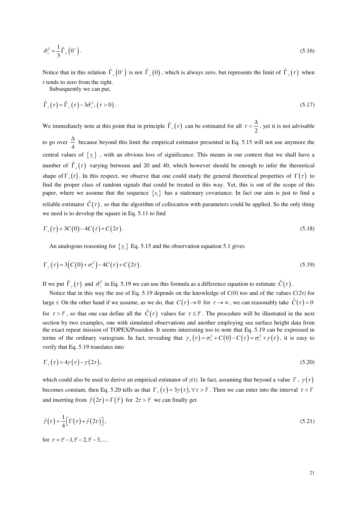$$
\hat{\sigma}_{\nu}^2 = \frac{1}{3} \hat{\Gamma}_{\nu} \left( 0^+ \right). \tag{5.16}
$$

Notice that in this relation  $\hat{\Gamma}_y(0^*)$  is not  $\hat{\Gamma}_y(0)$ , which is always zero, but represents the limit of  $\hat{\Gamma}_y(\tau)$  when  $\tau$  tends to zero from the right.

Subsequently we can put,

$$
\hat{\Gamma}_s(\tau) = \hat{\Gamma}_y(\tau) - 3\hat{\sigma}_y^2, (\tau > 0). \tag{5.17}
$$

We immediately note at this point that in principle  $\hat{\Gamma}_s(\tau)$  can be estimated for all  $\tau < \frac{\Delta}{2}$ , yet it is not advisable to go over  $\frac{4}{4}$  $\frac{\Delta}{\Delta}$  because beyond this limit the empirical estimator presented in Eq. 5.15 will not use anymore the central values of  $\{y_t\}$ , with an obvious loss of significance. This means in our context that we shall have a number of  $\hat{\Gamma}_s(\tau)$  varying between and 20 and 40, which however should be enough to infer the theoretical shape of Γ<sub>s</sub>(*t*). In this respect, we observe that one could study the general theoretical properties of Γ(τ) to find the proper class of random signals that could be treated in this way. Yet, this is out of the scope of this paper, where we assume that the sequence  $\{s_t\}$  has a stationary covariance. In fact our aim is just to find a reliable estimator  $\hat{C}(\tau)$ , so that the algorithm of collocation with parameters could be applied. So the only thing we need is to develop the square in Eq. 5.11 to find

$$
\Gamma_s(\tau) = 3C(0) - 4C(\tau) + C(2\tau). \tag{5.18}
$$

An analogous reasoning for  $\{y_t\}$  Eq. 5.15 and the observation equation 5.1 gives

$$
\Gamma_{y}(\tau) = 3(C(0) + \sigma_{y}^{2}) - 4C(\tau) + C(2\tau).
$$
\n(5.19)

If we put  $\hat{\Gamma}_y(\tau)$  and  $\hat{\sigma}_y^2$  in Eq. 5.19 we can use this formula as a difference equation to estimate  $\hat{C}(\tau)$ .

Notice that in this way the use of Eq. 5.19 depends on the knowledge of *C(0)* too and of the values *C(2*τ*)* for large  $\tau$ . On the other hand if we assume, as we do, that  $C(\tau) \to 0$  for  $\tau \to \infty$ , we can reasonably take  $\hat{C}(\tau) = 0$ for  $\tau > \overline{\tau}$ , so that one can define all the  $\hat{C}(\tau)$  values for  $\tau \leq \overline{\tau}$ . The procedure will be illustrated in the next section by two examples, one with simulated observations and another employing sea surface height data from the exact repeat mission of TOPEX/Poseidon. It seems interesting too to note that Eq. 5.19 can be expressed in terms of the ordinary variogram. In fact, revealing that  $\gamma_y(\tau) = \sigma_y^2 + C(0) - C(\tau) = \sigma_y^2 + \gamma(\tau)$ , it is easy to verify that Eq. 5.19 translates into

$$
\Gamma_{y}(\tau) = 4\gamma(\tau) - \gamma(2\tau),\tag{5.20}
$$

which could also be used to derive an empirical estimator of  $\gamma(\tau)$ . In fact, assuming that beyond a value  $\bar{\tau}$ ,  $\gamma(\tau)$ becomes constant, then Eq. 5.20 tells us that  $\Gamma_{v}(\tau) = 3\gamma(\tau)$ ,  $\forall \tau > \overline{\tau}$ . Then we can enter into the interval  $\tau < \overline{\tau}$ and inserting from  $\hat{y}(2\tau) = \Gamma(\overline{\tau})$  for  $2\tau > \overline{\tau}$  we can finally get

$$
\hat{\gamma}(\tau) = \frac{1}{4} \Big[ \Gamma(\tau) + \hat{\gamma}(2\tau) \Big],\tag{5.21}
$$

for  $\tau = \overline{\tau} - 1, \overline{\tau} - 2, \overline{\tau} - 3, \dots$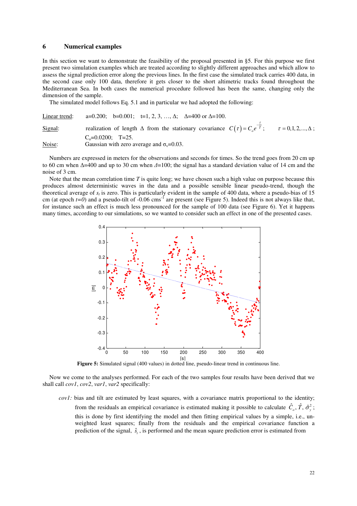#### **6 Numerical examples**

In this section we want to demonstrate the feasibility of the proposal presented in §5. For this purpose we first present two simulation examples which are treated according to slightly different approaches and which allow to assess the signal prediction error along the previous lines. In the first case the simulated track carries 400 data, in the second case only 100 data, therefore it gets closer to the short altimetric tracks found throughout the Mediterranean Sea. In both cases the numerical procedure followed has been the same, changing only the dimension of the sample.

The simulated model follows Eq. 5.1 and in particular we had adopted the following:

| Linear trend: | a=0.200; b=0.001; t=1, 2, 3, , $\Delta$ ; $\Delta$ =400 or $\Delta$ =100.                                          |  |
|---------------|--------------------------------------------------------------------------------------------------------------------|--|
| Signal:       | realization of length $\Delta$ from the stationary covariance $C(\tau) = C_{e}e^{\tau}$ ; $\tau = 0,1,2,,\Delta$ ; |  |
|               | $C_0 = 0.0200$ ; T=25.                                                                                             |  |
| Noise:        | Gaussian with zero average and $\sigma_v = 0.03$ .                                                                 |  |

Numbers are expressed in meters for the observations and seconds for times. So the trend goes from 20 cm up to 60 cm when ∆=400 and up to 30 cm when ∆=100; the signal has a standard deviation value of 14 cm and the noise of 3 cm.

Note that the mean correlation time *T* is quite long; we have chosen such a high value on purpose because this produces almost deterministic waves in the data and a possible sensible linear pseudo-trend, though the theoretical average of *s<sup>t</sup>* is zero. This is particularly evident in the sample of 400 data, where a pseudo-bias of 15 cm (at epoch  $t=0$ ) and a pseudo-tilt of -0.06 cms<sup>-1</sup> are present (see Figure 5). Indeed this is not always like that, for instance such an effect is much less pronounced for the sample of 100 data (see Figure 6). Yet it happens many times, according to our simulations, so we wanted to consider such an effect in one of the presented cases.



**Figure 5:** Simulated signal (400 values) in dotted line, pseudo-linear trend in continuous line.

Now we come to the analyses performed. For each of the two samples four results have been derived that we shall call *cov1*, *cov2*, *var1*, *var2* specifically:

*cov1*: bias and tilt are estimated by least squares, with a covariance matrix proportional to the identity; from the residuals an empirical covariance is estimated making it possible to calculate  $\hat{C}_o$ ,  $\hat{T}$ ,  $\hat{\sigma}_y^2$ ; this is done by first identifying the model and then fitting empirical values by a simple, i.e., unweighted least squares; finally from the residuals and the empirical covariance function a prediction of the signal,  $\hat{s}_t$ , is performed and the mean square prediction error is estimated from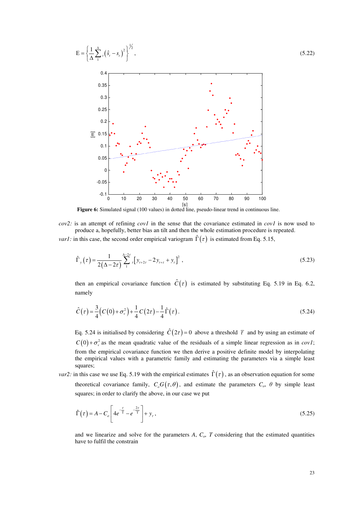

[s] **Figure 6:** Simulated signal (100 values) in dotted line, pseudo-linear trend in continuous line.

*cov2:* is an attempt of refining *cov1* in the sense that the covariance estimated in *cov1* is now used to produce a, hopefully, better bias an tilt and then the whole estimation procedure is repeated. *var1*: in this case, the second order empirical variogram  $\hat{\Gamma}(\tau)$  is estimated from Eq. 5.15,

$$
\hat{\Gamma}_{y}(\tau) = \frac{1}{2(\Delta - 2\tau)} \sum_{1}^{\Delta - 2\tau} \left[ y_{t+2\tau} - 2y_{t+\tau} + y_{t} \right]^{2}, \qquad (5.23)
$$

then an empirical covariance function  $\hat{C}(\tau)$  is estimated by substituting Eq. 5.19 in Eq. 6.2, namely

$$
\hat{C}(\tau) = \frac{3}{4} \left( C(0) + \sigma_v^2 \right) + \frac{1}{4} C(2\tau) - \frac{1}{4} \hat{\Gamma}(\tau). \tag{5.24}
$$

Eq. 5.24 is initialised by considering  $\hat{C}(2\tau) = 0$  above a threshold  $\bar{\tau}$  and by using an estimate of  $C(0) + \sigma_v^2$  as the mean quadratic value of the residuals of a simple linear regression as in *cov1*; from the empirical covariance function we then derive a positive definite model by interpolating the empirical values with a parametric family and estimating the parameters via a simple least squares;

*var2*: in this case we use Eq. 5.19 with the empirical estimates  $\hat{\Gamma}(\tau)$ , as an observation equation for some theoretical covariance family,  $C_o G(\tau, \theta)$ , and estimate the parameters  $C_o$ ,  $\theta$  by simple least squares; in order to clarify the above, in our case we put

$$
\hat{\Gamma}(\tau) = A - C_o \left[ 4e^{-\frac{\tau}{T}} - e^{-\frac{2\tau}{T}} \right] + y_{\tau},\tag{5.25}
$$

and we linearize and solve for the parameters *A*, *Co, T* considering that the estimated quantities have to fulfil the constrain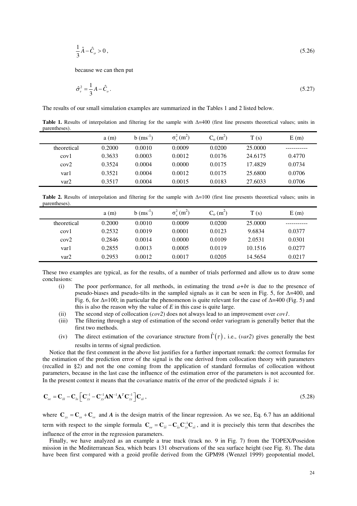$$
\frac{1}{3}\hat{A} - \hat{C}_o > 0, \tag{5.26}
$$

because we can then put

$$
\hat{\sigma}_v^2 = \frac{1}{3} A - \hat{C}_o \,. \tag{5.27}
$$

The results of our small simulation examples are summarized in the Tables 1 and 2 listed below.

**Table 1.** Results of interpolation and filtering for the sample with ∆=400 (first line presents theoretical values; units in parentheses).

|             | a(m)   | $b$ (ms <sup>-1</sup> ) | $\sigma_{\rm c}^{2}$ (m <sup>2</sup> ) | $C_{0}$ (m <sup>2</sup> ) | T(s)    | E(m)   |
|-------------|--------|-------------------------|----------------------------------------|---------------------------|---------|--------|
| theoretical | 0.2000 | 0.0010                  | 0.0009                                 | 0.0200                    | 25,0000 |        |
| covl        | 0.3633 | 0.0003                  | 0.0012                                 | 0.0176                    | 24.6175 | 0.4770 |
| cov2        | 0.3524 | 0.0004                  | 0.0000                                 | 0.0175                    | 17.4829 | 0.0734 |
| varl        | 0.3521 | 0.0004                  | 0.0012                                 | 0.0175                    | 25.6800 | 0.0706 |
| var2        | 0.3517 | 0.0004                  | 0.0015                                 | 0.0183                    | 27.6033 | 0.0706 |

**Table 2.** Results of interpolation and filtering for the sample with ∆=100 (first line presents theoretical values; units in parentheses).

|             | a(m)   | $b$ (ms <sup>-1</sup> ) | $\sigma_v^2$ (m <sup>2</sup> ) | $C_{\alpha}$ (m <sup>2</sup> ) | T(s)    | E(m)   |
|-------------|--------|-------------------------|--------------------------------|--------------------------------|---------|--------|
| theoretical | 0.2000 | 0.0010                  | 0.0009                         | 0.0200                         | 25,0000 |        |
| cov1        | 0.2532 | 0.0019                  | 0.0001                         | 0.0123                         | 9.6834  | 0.0377 |
| cov2        | 0.2846 | 0.0014                  | 0.0000                         | 0.0109                         | 2.0531  | 0.0301 |
| varl        | 0.2855 | 0.0013                  | 0.0005                         | 0.0119                         | 10.1516 | 0.0277 |
| var2        | 0.2953 | 0.0012                  | 0.0017                         | 0.0205                         | 14.5654 | 0.0217 |

These two examples are typical, as for the results, of a number of trials performed and allow us to draw some conclusions:

- (i) The poor performance, for all methods, in estimating the trend  $a+bt$  is due to the presence of pseudo-biases and pseudo-tilts in the sampled signals as it can be seen in Fig. 5, for ∆=400, and Fig. 6, for  $\Delta$ =100; in particular the phenomenon is quite relevant for the case of  $\Delta$ =400 (Fig. 5) and this is also the reason why the value of  $E$  in this case is quite large.
- (ii) The second step of collocation (*cov2*) does not always lead to an improvement over *cov1*.
- (iii) The filtering through a step of estimation of the second order variogram is generally better that the first two methods.
- (iv) The direct estimation of the covariance structure from  $\hat{\Gamma}(\tau)$ , i.e., (*var2*) gives generally the best results in terms of signal prediction.

Notice that the first comment in the above list justifies for a further important remark: the correct formulas for the estimation of the prediction error of the signal is the one derived from collocation theory with parameters (recalled in §2) and not the one coming from the application of standard formulas of collocation without parameters, because in the last case the influence of the estimation error of the parameters is not accounted for. In the present context it means that the covariance matrix of the error of the predicted signals  $\hat{s}$  is:

$$
C_{ee} = C_{\hat{s}\hat{s}} - C_{\hat{s}\hat{s}} \left[ C_{yy}^{-1} - C_{yy}^{-1} A N^{-1} A^T C_{yy}^{-1} \right] C_{s\hat{s}},
$$
\n(5.28)

where  $C_w = C_{w} + C_w$  and *A* is the design matrix of the linear regression. As we see, Eq. 6.7 has an additional term with respect to the simple formula  $\mathbf{C}_{ee} = \mathbf{C}_{\hat{s}\hat{s}} - \mathbf{C}_{\hat{s}\hat{s}} \mathbf{C}_{yy}^{-1} \mathbf{C}_{s\hat{s}}$ , and it is precisely this term that describes the influence of the error in the regression parameters.

Finally, we have analyzed as an example a true track (track no. 9 in Fig. 7) from the TOPEX/Poseidon mission in the Mediterranean Sea, which bears 131 observations of the sea surface height (see Fig. 8). The data have been first compared with a geoid profile derived from the GPM98 (Wenzel 1999) geopotential model,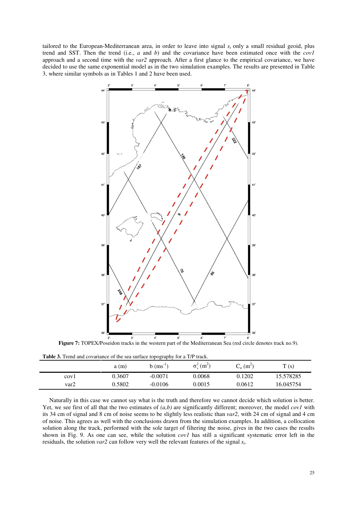tailored to the European-Mediterranean area, in order to leave into signal *s<sup>t</sup>* only a small residual geoid, plus trend and SST. Then the trend (i.e., *a* and *b*) and the covariance have been estimated once with the *cov1* approach and a second time with the *var2* approach. After a first glance to the empirical covariance, we have decided to use the same exponential model as in the two simulation examples. The results are presented in Table 3, where similar symbols as in Tables 1 and 2 have been used.



**Figure 7:** TOPEX/Poseidon tracks in the western part of the Mediterranean Sea (red circle denotes track no.9).

| <b>Table 3.</b> Trend and covariance of the sea surface topography for a T/P track. |        |                         |                                        |                                |           |  |
|-------------------------------------------------------------------------------------|--------|-------------------------|----------------------------------------|--------------------------------|-----------|--|
|                                                                                     | a(m)   | $b$ (ms <sup>-1</sup> ) | $\sigma_{\rm c}^{2}$ (m <sup>2</sup> ) | $C_{\alpha}$ (m <sup>2</sup> ) | T(s)      |  |
| covl                                                                                | 0.3607 | $-0.0071$               | 0.0068                                 | 0.1202                         | 15.578285 |  |
| var2                                                                                | 0.5802 | $-0.0106$               | 0.0015                                 | 0.0612                         | 16.045754 |  |

Naturally in this case we cannot say what is the truth and therefore we cannot decide which solution is better. Yet, we see first of all that the two estimates of  $(a,b)$  are significantly different; moreover, the model  $cov1$  with its 34 cm of signal and 8 cm of noise seems to be slightly less realistic than *var2*, with 24 cm of signal and 4 cm of noise. This agrees as well with the conclusions drawn from the simulation examples. In addition, a collocation solution along the track, performed with the sole target of filtering the noise, gives in the two cases the results shown in Fig. 9. As one can see, while the solution *cov1* has still a significant systematic error left in the residuals, the solution *var2* can follow very well the relevant features of the signal *s<sup>t</sup>* .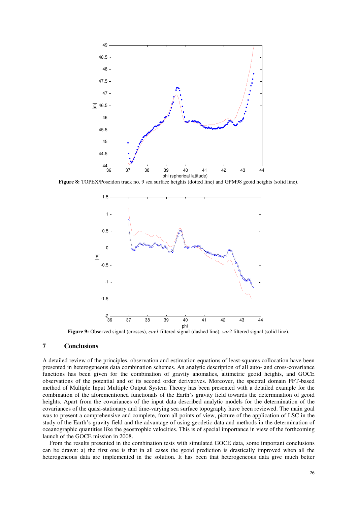

**Figure 8:** TOPEX/Poseidon track no. 9 sea surface heights (dotted line) and GPM98 geoid heights (solid line).



**Figure 9:** Observed signal (crosses), *cov1* filtered signal (dashed line), *var2* filtered signal (solid line).

# **7 Conclusions**

A detailed review of the principles, observation and estimation equations of least-squares collocation have been presented in heterogeneous data combination schemes. An analytic description of all auto- and cross-covariance functions has been given for the combination of gravity anomalies, altimetric geoid heights, and GOCE observations of the potential and of its second order derivatives. Moreover, the spectral domain FFT-based method of Multiple Input Multiple Output System Theory has been presented with a detailed example for the combination of the aforementioned functionals of the Earth's gravity field towards the determination of geoid heights. Apart from the covariances of the input data described analytic models for the determination of the covariances of the quasi-stationary and time-varying sea surface topography have been reviewed. The main goal was to present a comprehensive and complete, from all points of view, picture of the application of LSC in the study of the Earth's gravity field and the advantage of using geodetic data and methods in the determination of oceanographic quantities like the geostrophic velocities. This is of special importance in view of the forthcoming launch of the GOCE mission in 2008.

From the results presented in the combination tests with simulated GOCE data, some important conclusions can be drawn: a) the first one is that in all cases the geoid prediction is drastically improved when all the heterogeneous data are implemented in the solution. It has been that heterogeneous data give much better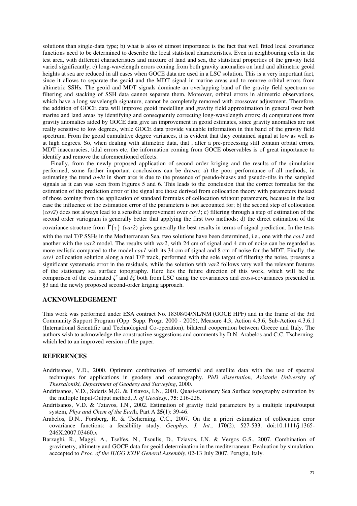solutions than single-data type; b) what is also of utmost importance is the fact that well fitted local covariance functions need to be determined to describe the local statistical characteristics. Even in neighbouring cells in the test area, with different characteristics and mixture of land and sea, the statistical properties of the gravity field varied significantly; c) long-wavelength errors coming from both gravity anomalies on land and altimetric geoid heights at sea are reduced in all cases when GOCE data are used in a LSC solution. This is a very important fact, since it allows to separate the geoid and the MDT signal in marine areas and to remove orbital errors from altimetric SSHs. The geoid and MDT signals dominate an overlapping band of the gravity field spectrum so filtering and stacking of SSH data cannot separate them. Moreover, orbital errors in altimetric observations, which have a long wavelength signature, cannot be completely removed with crossover adjustment. Therefore, the addition of GOCE data will improve geoid modelling and gravity field approximation in general over both marine and land areas by identifying and consequently correcting long-wavelength errors; d) computations from gravity anomalies aided by GOCE data give an improvement in geoid estimates, since gravity anomalies are not really sensitive to low degrees, while GOCE data provide valuable information in this band of the gravity field spectrum. From the geoid cumulative degree variances, it is evident that they contained signal at low as well as at high degrees. So, when dealing with altimetric data, that , after a pre-processing still contain orbital errors, MDT inaccuracies, tidal errors etc, the information coming from GOCE observables is of great importance to identify and remove the aforementioned effects.

 Finally, from the newly proposed application of second order kriging and the results of the simulation performed, some further important conclusions can be drawn: a) the poor performance of all methods, in estimating the trend *a+bt* in short arcs is due to the presence of pseudo-biases and pseudo-tilts in the sampled signals as it can was seen from Figures 5 and 6. This leads to the conclusion that the correct formulas for the estimation of the prediction error of the signal are those derived from collocation theory with parameters instead of those coming from the application of standard formulas of collocation without parameters, because in the last case the influence of the estimation error of the parameters is not accounted for; b) the second step of collocation (*cov2*) does not always lead to a sensible improvement over *cov1*; c) filtering through a step of estimation of the second order variogram is generally better that applying the first two methods; d) the direct estimation of the

covariance structure from  $\hat{\Gamma}(\tau)$  (*var2*) gives generally the best results in terms of signal prediction. In the tests

with the real T/P SSHs in the Mediterranean Sea, two solutions have been determined, i.e., one with the *cov1* and another with the *var2* model. The results with *var2*, with 24 cm of signal and 4 cm of noise can be regarded as more realistic compared to the model *cov1* with its 34 cm of signal and 8 cm of noise for the MDT. Finally, the *cov1* collocation solution along a real T/P track, performed with the sole target of filtering the noise, presents a significant systematic error in the residuals, while the solution with *var2* follows very well the relevant features of the stationary sea surface topography. Here lies the future direction of this work, which will be the comparison of the estimated  $\zeta^c$  and  $\delta\zeta$  both from LSC using the covariances and cross-covariances presented in §3 and the newly proposed second-order kriging approach.

## **ACKNOWLEDGEMENT**

This work was performed under ESA contract No. 18308/04/NL/NM (GOCE HPF) and in the frame of the 3rd Community Support Program (Opp. Supp. Progr. 2000 - 2006), Measure 4.3, Action 4.3.6, Sub-Action 4.3.6.1 (International Scientific and Technological Co-operation), bilateral cooperation between Greece and Italy. The authors wish to acknowledge the constructive suggestions and comments by D.N. Arabelos and C.C. Tscherning, which led to an improved version of the paper.

# **REFERENCES**

- Andritsanos, V.D., 2000. Optimum combination of terrestrial and satellite data with the use of spectral techniques for applications in geodesy and oceanography. *PhD dissertation, Aristotle University of Thessaloniki, Department of Geodesy and Surveying*, 2000.
- Andritsanos, V.D., Sideris M,G. & Tziavos, I.N., 2001. Quasi-stationery Sea Surface topography estimation by the multiple Input-Output method, *J. of Geodesy.*, **75**: 216-226.
- Andritsanos, V.D. & Tziavos, I.N., 2002. Estimation of gravity field parameters by a multiple input/output system, *Phys and Chem of the Eart*h, Part A **25**(1): 39-46.
- Arabelos, D.N., Forsberg, R. & Tscherning, C.C., 2007. On the a priori estimation of collocation error covariance functions: a feasibility study. *Geophys. J. Int.*, **170**(2), 527-533. doi:10.1111/j.1365- 246X.2007.03460.x
- Barzaghi, R., Maggi, A., Tselfes, N., Tsoulis, D., Tziavos, I.N. & Vergos G.S., 2007. Combination of gravimetry, altimetry and GOCE data for geoid determination in the mediterranean: Evaluation by simulation, acccepted to *Proc. of the IUGG XXIV General Assembly*, 02-13 July 2007, Perugia, Italy.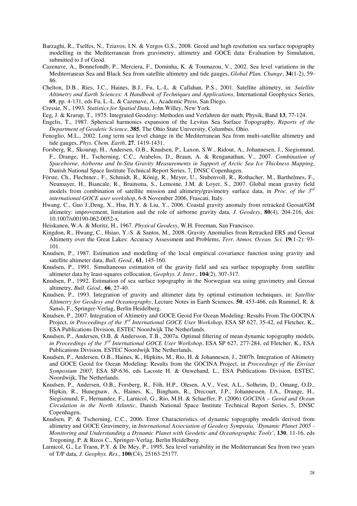- Barzaghi, R., Tselfes, N., Tziavos, I.N. & Vergos G.S., 2008. Geoid and high resolution sea surface topography modelling in the Mediterranean from gravimetry, altimetry and GOCE data: Evaluation by Simulation, submitted to J of Geod.
- Cazenave, A., Bonnefondb, P., Merciera, F., Dominha, K. & Toumazou, V., 2002. Sea level variations in the Mediterranean Sea and Black Sea from satellite altimetry and tide gauges, *Global Plan. Change*, **34**(1-2), 59- 86.
- Chelton, D.B., Ries, J.C., Haines, B.J., Fu, L.-L. & Callahan, P.S., 2001. Satellite altimetry, in: *Satellite Altimetry and Earth Sciences: A Handbook of Techniques and Applications*, International Geophysics Series, **69**, pp. 4-131, eds Fu, L.-L. & Cazenave, A., Academic Press, San Diego.
- Cressie, N., 1993. *Statistics for Spatial Data*, John Willey, New York.
- Eeg, J. & Krarup, T., 1975. Integrated Geodesy: Methoden und Verfahren der math, Physik, Band **13**, 77-124.
- Engelis, T., 1987. Spherical harmonics expansion of the Levitus Sea Surface Topography, *Reports of the Department of Geodetic Science*, **385**, The Ohio State University, Columbus, Ohio.
- Fenoglio, M.L., 2002. Long term sea level change in the Mediterranean Sea from multi-satellite altimetry and tide gauges, *Phys. Chem. Earth*, **27**, 1419-1431.
- Forsberg, R., Skourup, H., Andersen, O.B., Knudsen, P., Laxon, S.W., Ridout, A., Johannesen, J., Siegismund, F., Drange, H., Tscherning, C.C., Arabelos, D., Braun, A. & Renganathan, V., 2007. *Combination of Spaceborne, Airborne and In-Situ Gravity Measurements in Support of Arctic Sea Ice Thickness Mapping*, Danish National Space Institute Technical Report Series, 7, DNSC Copenhagen,
- Förste, Ch., Flechtner., F., Schmidt, R., König, R., Meyer, U., Stubenvoll, R., Rothacher, M., Barthelmes, F., Neumayer, H., Biancale, R., Bruinsma, S., Lemoine, J.M. & Loyer, S., 2007. Global mean gravity field models from combination of satellite mission and altimetry/gravimetry surface data, in *Proc. of the 3rd international GOCE user workshop*, 6-8 November 2006, Frascati, Italy.
- Hwang, C., Guo J.,Deng, X., Hsu, H.Y. & Liu, Y., 2006. Coastal gravity anomaly from retracked Geosat/GM altimetry: improvement, limitation and the role of airborne gravity data, *J. Geodesy*, **80**(4), 204-216, doi: 10.1007/s00190-062-0052-x.
- Heiskanen, W.A. & Moritz, H., 1967. *Physical Geodesy*, W.H. Freeman, San Francisco.
- Kingdon, R., Hwang, C., Hsiao, Y.-S. & Santos, M., 2008. Gravity Anomalies from Retracked ERS and Geosat Altimetry over the Great Lakes: Accuracy Assessment and Problems, *Terr. Atmos. Ocean. Sci.* **19**(1-2): 93- 101.
- Knudsen, P., 1987. Estimation and modelling of the local empirical covariance function using gravity and satellite altimeter data, *Bull. Geod.*, **61**, 145-160.
- Knudsen, P., 1991. Simultaneous estimation of the gravity field and sea surface topography from satellite altimeter data by least-squares collocation, *Geophys. J. Inter*., **104**(2), 307-317.
- Knudsen, P., 1992. Estimation of sea surface topography in the Norwegian sea using gravimetry and Geosat altimetry, *Bull. Géod.,* **66**, 27-40.
- Knudsen, P., 1993. Integration of gravity and altimeter data by optimal estimation techniques, in: *Satellite Altimetry for Geodesy and Oceanography*, Lecture Notes in Earth Sciences, **50**, 453-466, eds Rummel, R. & Sansò, F., Springer-Verlag, Berlin Heidelberg.
- Knudsen, P., 2007. Integration of Altimetry and GOCE Geoid For Ocean Modeling: Results From The GOCINA Project, *in Proceedings of the 3rd International GOCE User Workshop*, ESA SP 627, 35-42, ed Fletcher, K., ESA Publications Division, ESTEC Noordwijk The Netherlands.
- Knudsen, P., Andersen, O.B. & Andersson, T.B., 2007a. Optimal filtering of mean dynamic topography models, *in Proceedings of the 3rd International GOCE User Workshop*, ESA SP 627, 277-284, ed Fletcher, K., ESA Publications Division, ESTEC Noordwijk The Netherlands.
- Knudsen, P., Andersen, O.B., Haines, K., Hipkins, M., Rio, H. & Johannesen, J., 2007b. Integration of Altimetry and GOCE Geoid for Ocean Modeling: Results from the GOCINA Project, in *Proceedings of the Envisat Symposium 2007*, ESA SP-636, eds Lacoste H. & Ouwehand, L., ESA Publications Division, ESTEC, Noordwijk, The Netherlands.
- Knudsen, P., Andersen, O.B., Forsberg, R., Föh, H.P., Olesen, A.V., Vest, A.L., Solheim, D., Omang, O.D., Hipkin, R., Hunegnaw, A., Haines, K., Bingham, R., Drecourt, J.P., Johannessen, J.A., Drange, H., Siegismund, F., Hernandez, F., Larnicol, G., Rio, M.H. & Schaeffer, P. (2006) *GOCINA – Geoid and Ocean Circulation in the North Atlantic*, Danish National Space Institute Technical Report Series, 5, DNSC Copenhagen,
- Knudsen, P. & Tscherning, C.C., 2006. Error Characteristics of dynamic topography models derived from altimetry and GOCE Gravimetry, in *International Association of Geodesy Symposia, 'Dynamic Planet 2005 - Monitoring and Understanding a Dynamic Planet with Geodetic and Oceanographic Tools'*, **130**, 11-16, eds Tregoning, P. & Rizos C., Springer-Verlag, Berlin Heidelberg.
- Larnicol, G., Le Traon, P.Y. & De Mey, P., 1995, Sea level variability in the Mediterranean Sea from two years of T/P data, *J. Geophys. Res.*, **100**(C4), 25163-25177.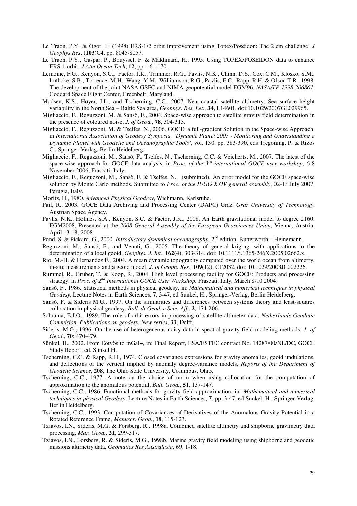- Le Traon, P.Y. & Ogor, F. (1998) ERS-1/2 orbit improvement using Topex/Poséidon: The 2 cm challenge, *J Geophys Res*, (**103**)C4, pp. 8045-8057.
- Le Traon, P.Y., Gaspar, P., Bouyssel, F. & Makhmara, H., 1995. Using TOPEX/POSEIDON data to enhance ERS-1 orbit, *J Atm Ocean Tech*, **12**, pp. 161-170.
- Lemoine, F.G., Kenyon, S.C., Factor, J.K., Trimmer, R.G., Pavlis, N.K., Chinn, D.S., Cox, C.M., Klosko, S.M., Luthcke, S.B., Torrence, M.H., Wang, Y.M., Williamson, R.G., Pavlis, E.C., Rapp, R.H. & Olson T.R., 1998. The development of the joint NASA GSFC and NIMA geopotential model EGM96, *NASA/TP-1998-206861*, Goddard Space Flight Center, Greenbelt, Maryland.
- Madsen, K.S., Høyer, J.L., and Tscherning, C.C., 2007. Near-coastal satellite altimetry: Sea surface height variability in the North Sea – Baltic Sea area, *Geophys. Res. Let.*, **34**, L14601, doi:10.1029/2007GL029965.
- Migliaccio, F., Reguzzoni, M. & Sansò, F., 2004. Space-wise approach to satellite gravity field determination in the presence of coloured noise, *J. of Geod.*, **78**, 304-313.
- Migliaccio, F., Reguzzoni, M. & Tselfes, N., 2006. GOCE: a full-gradient Solution in the Space-wise Approach. in *International Association of Geodesy Symposia, 'Dynamic Planet 2005 - Monitoring and Understanding a Dynamic Planet with Geodetic and Oceanographic Tools'*, vol. 130, pp. 383-390, eds Tregoning, P. & Rizos C., Springer-Verlag, Berlin Heidelberg.
- Migliaccio, F., Reguzzoni, M., Sansò, F., Tselfes, N., Tscherning, C.C. & Veicherts, M., 2007. The latest of the space-wise approach for GOCE data analysis, in *Proc. of the 3rd international GOCE user workshop*, 6-8 November 2006, Frascati, Italy.
- Migliaccio, F., Reguzzoni, M., Sansò, F. & Tselfes, N., (submitted). An error model for the GOCE space-wise solution by Monte Carlo methods. Submitted to *Proc. of the IUGG XXIV general assembly*, 02-13 July 2007, Perugia, Italy.
- Moritz, H., 1980. *Advanced Physical Geodesy*, Wichmann, Karlsruhe.
- Pail, R., 2003. GOCE Data Archiving and Processing Center (DAPC) Graz, *Graz University of Technology*, Austrian Space Agency.
- Pavlis, N.K., Holmes, S.A., Kenyon, S.C. & Factor, J.K., 2008. An Earth gravitational model to degree 2160: EGM2008, Presented at the *2008 General Assembly of the European Geosciences Union*, Vienna, Austria, April 13-18, 2008.
- Pond, S. & Pickard, G., 2000. *Introductory dynamical oceanography*, 2nd edition, Butterworth Heinemann.
- Reguzzoni, M., Sansό, F., and Venuti, G., 2005. The theory of general kriging, with applications to the determination of a local geoid, *Geophys. J. Int.*, **162(4)**, 303-314, doi: 10.1111/j.1365-246X.2005.02662.x.
- Rio, M.-H. & Hernandez F., 2004. A mean dynamic topography computed over the world ocean from altimetry, in-situ measurements and a geoid model, *J. of Geoph. Res.*, **109**(12), C12032, doi: 10.1029/2003JC002226.
- Rummel, R., Gruber, T. & Koop, R., 2004. High level processing facility for GOCE: Products and processing strategy, in *Proc. of 2nd International GOCE User Workshop.* Frascati, Italy, March 8-10 2004.
- Sansò, F., 1986. Statistical methods in physical geodesy, in: *Mathematical and numerical techniques in physical Geodesy*, Lecture Notes in Earth Sciences, **7**, 3-47, ed Sünkel, H., Springer-Verlag, Berlin Heidelberg.
- Sansò, F. & Sideris M.G., 1997. On the similarities and differences between systems theory and least-squares collocation in physical geodesy, *Boll. di Geod. e Scie. Aff.*, **2**, 174-206.
- Schrama, E.J.O., 1989. The role of orbit errors in processing of satellite altimeter data, *Netherlands Geodetic Commision. Publications on geodesy, New series*, **33**, Delft.
- Sideris, M.G., 1996. On the use of heterogeneous noisy data in spectral gravity field modeling methods, *J. of Geod*., **70**: 470-479.
- Sünkel, H., 2002. From Eötvös to mGal+, in: Final Report, ESA/ESTEC contract No. 14287/00/NL/DC, GOCE Study Report, ed. Sünkel H.
- Tscherning, C.C. & Rapp, R.H., 1974. Closed covariance expressions for gravity anomalies, geoid undulations, and deflections of the vertical implied by anomaly degree-variance models, *Reports of the Department of Geodetic Science*, **208**, The Ohio State University, Columbus, Ohio.
- Tscherning, C.C., 1977. A note on the choice of norm when using collocation for the computation of approximation to the anomalous potential, *Bull. Geod.*, **5**1, 137-147.
- Tscherning, C.C., 1986. Functional methods for gravity field approximation, in: *Mathematical and numerical techniques in physical Geodesy*, Lecture Notes in Earth Sciences, **7**, pp. 3-47, ed Sünkel, H., Springer-Verlag, Berlin Heidelberg.
- Tscherning, C.C., 1993. Computation of Covariances of Derivatives of the Anomalous Gravity Potential in a Rotated Reference Frame, *Manuscr. Geod.*, **18**, 115-123.
- Tziavos, I.N., Sideris, M.G. & Forsberg, R., 1998a. Combined satellite altimetry and shipborne gravimetry data processing, *Mar. Geod.*, **21**, 299-317.
- Tziavos, I.N., Forsberg, R. & Sideris, M.G., 1998b. Marine gravity field modeling using shipborne and geodetic missions altimetry data, *Geomatics Res Australasia*, **69**, 1-18.